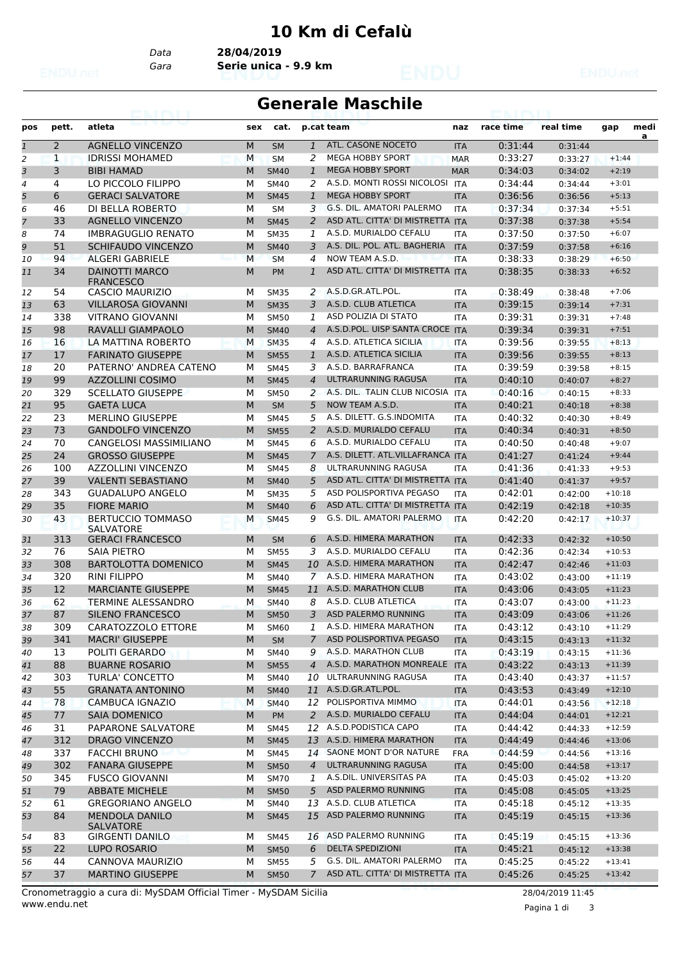## **10 Km di Cefalù**

*Data* **28/04/2019**

*Gara* **Serie unica - 9.9 km**

## **Generale Maschile**

| a<br>$\overline{2}$<br>ATL. CASONE NOCETO<br>$\mathbf{1}$<br><b>AGNELLO VINCENZO</b><br>M<br><b>SM</b><br>$\mathbf{1}$<br>0:31:44<br><b>ITA</b><br>0:31:44<br><b>IDRISSI MOHAMED</b><br><b>MEGA HOBBY SPORT</b><br>0:33:27<br>$\overline{2}$<br>$\mathbf{1}$<br>M<br>2<br><b>MAR</b><br><b>SM</b><br>0:33:27<br>$+1:44$<br>3<br><b>MEGA HOBBY SPORT</b><br>3<br><b>BIBI HAMAD</b><br>M<br><b>SM40</b><br>$\mathbf{1}$<br>0:34:03<br>$+2:19$<br><b>MAR</b><br>0:34:02<br>A.S.D. MONTI ROSSI NICOLOSI<br>LO PICCOLO FILIPPO<br>0:34:44<br>4<br>м<br>2<br><b>ITA</b><br>0:34:44<br>$+3:01$<br>4<br><b>SM40</b><br>5<br><b>GERACI SALVATORE</b><br>M<br><b>MEGA HOBBY SPORT</b><br>6<br><b>SM45</b><br>$\mathbf{1}$<br>0:36:56<br>$+5:13$<br><b>ITA</b><br>0:36:56<br><b>G.S. DIL. AMATORI PALERMO</b><br>6<br>0:37:34<br>46<br>DI BELLA ROBERTO<br>M<br><b>SM</b><br>3<br>$+5:51$<br><b>ITA</b><br>0:37:34<br>7<br>ASD ATL. CITTA' DI MISTRETTA ITA<br>33<br><b>AGNELLO VINCENZO</b><br>M<br><b>SM45</b><br>2<br>0:37:38<br>0:37:38<br>$+5:54$<br>74<br>A.S.D. MURIALDO CEFALU<br>0:37:50<br>8<br><b>IMBRAGUGLIO RENATO</b><br>М<br><b>SM35</b><br>0:37:50<br>$+6:07$<br>1<br><b>ITA</b><br>9<br>A.S. DIL. POL. ATL. BAGHERIA<br>51<br><b>SCHIFAUDO VINCENZO</b><br>0:37:59<br>M<br><b>SM40</b><br>$+6:16$<br>3<br><b>ITA</b><br>0:37:58<br><b>ALGERI GABRIELE</b><br>NOW TEAM A.S.D.<br>0:38:33<br>94<br>M<br><b>SM</b><br>4<br><b>ITA</b><br>0:38:29<br>$+6:50$<br>10<br>34<br><b>DAINOTTI MARCO</b><br>0:38:35<br>M<br>$\mathbf{1}$<br>ASD ATL. CITTA' DI MISTRETTA ITA<br>$+6:52$<br>0:38:33<br>11<br><b>PM</b><br><b>FRANCESCO</b><br>A.S.D.GR.ATL.POL.<br>0:38:49<br>54<br><b>CASCIO MAURIZIO</b><br>$+7:06$<br>M<br>2<br>12<br>SM35<br>ITA<br>0:38:48<br>A.S.D. CLUB ATLETICA<br>63<br>3<br><b>VILLAROSA GIOVANNI</b><br>M<br>0:39:15<br>$+7:31$<br>13<br><b>SM35</b><br><b>ITA</b><br>0:39:14<br>ASD POLIZIA DI STATO<br>0:39:31<br>14<br>338<br>VITRANO GIOVANNI<br>M<br><b>SM50</b><br>1<br>$+7:48$<br><b>ITA</b><br>0:39:31<br>A.S.D.POL. UISP SANTA CROCE ITA<br>98<br>RAVALLI GIAMPAOLO<br>M<br>0:39:34<br>$+7:51$<br>$\overline{4}$<br>15<br><b>SM40</b><br>0:39:31<br>A.S.D. ATLETICA SICILIA<br>16<br>LA MATTINA ROBERTO<br>M<br>0:39:56<br>$+8:13$<br>16<br><b>SM35</b><br>4<br><b>ITA</b><br>0:39:55<br>17<br><b>FARINATO GIUSEPPE</b><br>A.S.D. ATLETICA SICILIA<br>17<br>M<br><b>SM55</b><br>0:39:56<br>$\mathbf{1}$<br><b>ITA</b><br>0:39:55<br>$+8:13$<br>20<br>PATERNO' ANDREA CATENO<br>A.S.D. BARRAFRANCA<br>0:39:59<br>3<br>м<br>$+8:15$<br>18<br><b>SM45</b><br><b>ITA</b><br>0:39:58<br>ULTRARUNNING RAGUSA<br>99<br><b>AZZOLLINI COSIMO</b><br>$\overline{4}$<br>M<br><b>SM45</b><br><b>ITA</b><br>0:40:10<br>$+8:27$<br>19<br>0:40:07<br><b>SCELLATO GIUSEPPE</b><br>A.S. DIL. TALIN CLUB NICOSIA ITA<br>20<br>329<br>M<br><b>SM50</b><br>0:40:16<br>2<br>0:40:15<br>$+8:33$<br>95<br><b>GAETA LUCA</b><br>NOW TEAM A.S.D.<br>M<br>5<br>0:40:21<br>$+8:38$<br>21<br><b>SM</b><br><b>ITA</b><br>0:40:18<br>A.S. DILETT. G.S.INDOMITA<br>22<br><b>MERLINO GIUSEPPE</b><br>0:40:32<br>23<br>М<br>5<br>0:40:30<br>$+8:49$<br><b>SM45</b><br><b>ITA</b><br>23<br>73<br><b>GANDOLFO VINCENZO</b><br>A.S.D. MURIALDO CEFALU<br>M<br><b>SM55</b><br>2<br><b>ITA</b><br>0:40:34<br>0:40:31<br>$+8:50$<br>70<br>CANGELOSI MASSIMILIANO<br>A.S.D. MURIALDO CEFALU<br>0:40:50<br>24<br>M<br>6<br>$+9:07$<br><b>SM45</b><br><b>ITA</b><br>0:40:48<br>A.S. DILETT. ATL.VILLAFRANCA ITA<br>24<br><b>GROSSO GIUSEPPE</b><br>$\overline{7}$<br>M<br><b>SM45</b><br>0:41:27<br>25<br>0:41:24<br>$+9:44$<br>26<br>ULTRARUNNING RAGUSA<br>100<br>AZZOLLINI VINCENZO<br>M<br><b>SM45</b><br>0:41:36<br>$+9:53$<br>8<br><b>ITA</b><br>0:41:33<br>ASD ATL. CITTA' DI MISTRETTA ITA<br>39<br><b>VALENTI SEBASTIANO</b><br>M<br>0:41:40<br>$+9:57$<br>27<br>5<br><b>SM40</b><br>0:41:37<br>ASD POLISPORTIVA PEGASO<br>0:42:01<br>28<br>343<br><b>GUADALUPO ANGELO</b><br>М<br>5<br>$+10:18$<br><b>SM35</b><br><b>ITA</b><br>0:42:00<br>35<br><b>FIORE MARIO</b><br>ASD ATL. CITTA' DI MISTRETTA ITA<br>29<br>M<br><b>SM40</b><br>0:42:19<br>6<br>0:42:18<br>$+10:35$<br>G.S. DIL. AMATORI PALERMO<br>43<br><b>BERTUCCIO TOMMASO</b><br>9<br>0:42:20<br>$+10:37$<br>30<br>M<br><b>SM45</b><br><b>ITA</b><br>0:42:17<br><b>SALVATORE</b><br>A.S.D. HIMERA MARATHON<br>313<br><b>GERACI FRANCESCO</b><br>0:42:33<br>$+10:50$<br>M<br>6<br>0:42:32<br>31<br><b>SM</b><br><b>ITA</b><br>A.S.D. MURIALDO CEFALU<br>76<br>0:42:36<br>32<br>SAIA PIETRO<br>3<br>м<br><b>SM55</b><br><b>ITA</b><br>0:42:34<br>$+10:53$<br>33<br>A.S.D. HIMERA MARATHON<br>308<br><b>BARTOLOTTA DOMENICO</b><br>M<br>0:42:47<br><b>SM45</b><br>10<br><b>ITA</b><br>0:42:46<br>$+11:03$<br>A.S.D. HIMERA MARATHON<br>$+11:19$<br>34<br>320<br><b>RINI FILIPPO</b><br>0:43:02<br>м<br><b>SM40</b><br>$\mathcal{I}$<br>0:43:00<br>ITA<br>12<br>A.S.D. MARATHON CLUB<br><b>MARCIANTE GIUSEPPE</b><br>M<br>0:43:06<br>$+11:23$<br>35<br><b>SM45</b><br>11<br><b>ITA</b><br>0:43:05<br>A.S.D. CLUB ATLETICA<br>62<br>TERMINE ALESSANDRO<br>М<br>0:43:07<br>$+11:23$<br>36<br><b>SM40</b><br>8<br><b>ITA</b><br>0:43:00<br>ASD PALERMO RUNNING<br>87<br><b>SILENO FRANCESCO</b><br>M<br>3<br><b>SM50</b><br>0:43:09<br>$+11:26$<br>37<br><b>ITA</b><br>0:43:06<br>CARATOZZOLO ETTORE<br>1 A.S.D. HIMERA MARATHON<br>309<br>M<br>0:43:12<br>38<br><b>SM60</b><br><b>ITA</b><br>0:43:10<br>$+11:29$<br>ASD POLISPORTIVA PEGASO<br><b>MACRI' GIUSEPPE</b><br>0:43:15<br>39<br>341<br>М<br><b>SM</b><br>7<br><b>ITA</b><br>$+11:32$<br>0:43:13<br>A.S.D. MARATHON CLUB<br>$+11:36$<br>POLITI GERARDO<br>0:43:19<br>13<br>м<br>SM40<br>9<br>40<br>ITA<br>0:43:15<br>A.S.D. MARATHON MONREALE<br>88<br><b>BUARNE ROSARIO</b><br>M<br>0:43:22<br><b>SM55</b><br>$\overline{4}$<br><b>ITA</b><br>0:43:13<br>$+11:39$<br>41<br>ULTRARUNNING RAGUSA<br>303<br>TURLA' CONCETTO<br>0:43:40<br>М<br><b>SM40</b><br>10<br>ITA<br>0:43:37<br>$+11:57$<br>42<br>A.S.D.GR.ATL.POL.<br>55<br>$+12:10$<br><b>GRANATA ANTONINO</b><br>M<br>11<br>0:43:53<br><b>SM40</b><br><b>ITA</b><br>0:43:49<br>43<br>12 POLISPORTIVA MIMMO<br>78<br>CAMBUCA IGNAZIO<br>M<br><b>SM40</b><br>0:44:01<br><b>ITA</b><br>0:43:56<br>$+12:18$<br>44<br>A.S.D. MURIALDO CEFALU<br>77<br><b>SAIA DOMENICO</b><br><b>PM</b><br>0:44:04<br>М<br>2<br><b>ITA</b><br>0:44:01<br>$+12:21$<br>45<br>A.S.D.PODISTICA CAPO<br>PAPARONE SALVATORE<br>$+12:59$<br>12<br>0:44:42<br>31<br>46<br>м<br>SM45<br>ITA<br>0:44:33<br>13 A.S.D. HIMERA MARATHON<br>312<br><b>DRAGO VINCENZO</b><br>M<br>0:44:49<br>$+13:06$<br>47<br><b>SM45</b><br><b>ITA</b><br>0:44:46<br>SAONE MONT D'OR NATURE<br>337<br><b>FACCHI BRUNO</b><br>0:44:59<br>М<br><b>SM45</b><br>14<br><b>FRA</b><br>$+13:16$<br>0:44:56<br>48<br>302<br>$\overline{4}$<br>ULTRARUNNING RAGUSA<br><b>FANARA GIUSEPPE</b><br>M<br><b>SM50</b><br>0:45:00<br>$+13:17$<br><b>ITA</b><br>0:44:58<br>49<br>A.S.DIL. UNIVERSITAS PA<br>345<br><b>FUSCO GIOVANNI</b><br>1<br>0:45:03<br>50<br>М<br><b>SM70</b><br>ITA<br>0:45:02<br>$+13:20$<br>79<br><b>ABBATE MICHELE</b><br>ASD PALERMO RUNNING<br>0:45:08<br>М<br><b>SM50</b><br>5<br>$+13:25$<br><b>ITA</b><br>0:45:05<br>51<br>A.S.D. CLUB ATLETICA<br>61<br><b>GREGORIANO ANGELO</b><br>13<br>0:45:18<br>$+13:35$<br><b>SM40</b><br>52<br>м<br>ITA<br>0:45:12<br>15 ASD PALERMO RUNNING<br>84<br><b>MENDOLA DANILO</b><br>М<br><b>SM45</b><br>0:45:19<br>53<br><b>ITA</b><br>0:45:15<br>$+13:36$<br><b>SALVATORE</b><br>16 ASD PALERMO RUNNING<br>0:45:19<br>83<br>GIRGENTI DANILO<br>М<br>SM45<br><b>ITA</b><br>0:45:15<br>$+13:36$<br>54<br>22<br>6<br>DELTA SPEDIZIONI<br>0:45:21<br>LUPO ROSARIO<br>М<br><b>SM50</b><br><b>ITA</b><br>$+13:38$<br>55<br>0:45:12<br>G.S. DIL. AMATORI PALERMO<br>44<br>CANNOVA MAURIZIO<br>5<br>0:45:25<br>$+13:41$<br>М<br><b>SM55</b><br>0:45:22<br>56<br>ITA<br>ASD ATL. CITTA' DI MISTRETTA ITA<br>37<br><b>MARTINO GIUSEPPE</b><br>$7^{\circ}$<br>0:45:26<br>57<br>М<br><b>SM50</b><br>0:45:25<br>$+13:42$ | pos | pett. | atleta | sex | cat. | p.cat team | naz | race time | real time | gap | medi |
|-------------------------------------------------------------------------------------------------------------------------------------------------------------------------------------------------------------------------------------------------------------------------------------------------------------------------------------------------------------------------------------------------------------------------------------------------------------------------------------------------------------------------------------------------------------------------------------------------------------------------------------------------------------------------------------------------------------------------------------------------------------------------------------------------------------------------------------------------------------------------------------------------------------------------------------------------------------------------------------------------------------------------------------------------------------------------------------------------------------------------------------------------------------------------------------------------------------------------------------------------------------------------------------------------------------------------------------------------------------------------------------------------------------------------------------------------------------------------------------------------------------------------------------------------------------------------------------------------------------------------------------------------------------------------------------------------------------------------------------------------------------------------------------------------------------------------------------------------------------------------------------------------------------------------------------------------------------------------------------------------------------------------------------------------------------------------------------------------------------------------------------------------------------------------------------------------------------------------------------------------------------------------------------------------------------------------------------------------------------------------------------------------------------------------------------------------------------------------------------------------------------------------------------------------------------------------------------------------------------------------------------------------------------------------------------------------------------------------------------------------------------------------------------------------------------------------------------------------------------------------------------------------------------------------------------------------------------------------------------------------------------------------------------------------------------------------------------------------------------------------------------------------------------------------------------------------------------------------------------------------------------------------------------------------------------------------------------------------------------------------------------------------------------------------------------------------------------------------------------------------------------------------------------------------------------------------------------------------------------------------------------------------------------------------------------------------------------------------------------------------------------------------------------------------------------------------------------------------------------------------------------------------------------------------------------------------------------------------------------------------------------------------------------------------------------------------------------------------------------------------------------------------------------------------------------------------------------------------------------------------------------------------------------------------------------------------------------------------------------------------------------------------------------------------------------------------------------------------------------------------------------------------------------------------------------------------------------------------------------------------------------------------------------------------------------------------------------------------------------------------------------------------------------------------------------------------------------------------------------------------------------------------------------------------------------------------------------------------------------------------------------------------------------------------------------------------------------------------------------------------------------------------------------------------------------------------------------------------------------------------------------------------------------------------------------------------------------------------------------------------------------------------------------------------------------------------------------------------------------------------------------------------------------------------------------------------------------------------------------------------------------------------------------------------------------------------------------------------------------------------------------------------------------------------------------------------------------------------------------------------------------------------------------------------------------------------------------------------------------------------------------------------------------------------------------------------------------------------------------------------------------------------------------------------------------------------------------------------------------------------------------------------------------------------------------------------------------------------------------------------------------------------------------------------------------------------------------------------------------------------------------------------------------------------------------------------------------------------------------------------------------------------------------------------------------------------------------------------------------------------------------------------------------------------------------------------------------------------------------------------------------------------------------------------------------------------------------------------------------------------------------------------------------------------------------------------------------------------------------------------------------------------------------------------------------------------------------------------------------------------------------------------------------------------------------------------------------------------------------------------------------------------------------------------------------------------------------------------------------------------------------------------------------------------------------------------------------------------------------------------------------------------------------------------------------------------------------------------------------------------------------------------------------------------------------------------------------------------------------------------------------------------------------------------------------------------------------------------------------------------------------------------------------------------------------------------------|-----|-------|--------|-----|------|------------|-----|-----------|-----------|-----|------|
|                                                                                                                                                                                                                                                                                                                                                                                                                                                                                                                                                                                                                                                                                                                                                                                                                                                                                                                                                                                                                                                                                                                                                                                                                                                                                                                                                                                                                                                                                                                                                                                                                                                                                                                                                                                                                                                                                                                                                                                                                                                                                                                                                                                                                                                                                                                                                                                                                                                                                                                                                                                                                                                                                                                                                                                                                                                                                                                                                                                                                                                                                                                                                                                                                                                                                                                                                                                                                                                                                                                                                                                                                                                                                                                                                                                                                                                                                                                                                                                                                                                                                                                                                                                                                                                                                                                                                                                                                                                                                                                                                                                                                                                                                                                                                                                                                                                                                                                                                                                                                                                                                                                                                                                                                                                                                                                                                                                                                                                                                                                                                                                                                                                                                                                                                                                                                                                                                                                                                                                                                                                                                                                                                                                                                                                                                                                                                                                                                                                                                                                                                                                                                                                                                                                                                                                                                                                                                                                                                                                                                                                                                                                                                                                                                                                                                                                                                                                                                                                                                                                                                                                                                                                                                                                                                                                                                                                                                                                                                                                                                                                                               |     |       |        |     |      |            |     |           |           |     |      |
|                                                                                                                                                                                                                                                                                                                                                                                                                                                                                                                                                                                                                                                                                                                                                                                                                                                                                                                                                                                                                                                                                                                                                                                                                                                                                                                                                                                                                                                                                                                                                                                                                                                                                                                                                                                                                                                                                                                                                                                                                                                                                                                                                                                                                                                                                                                                                                                                                                                                                                                                                                                                                                                                                                                                                                                                                                                                                                                                                                                                                                                                                                                                                                                                                                                                                                                                                                                                                                                                                                                                                                                                                                                                                                                                                                                                                                                                                                                                                                                                                                                                                                                                                                                                                                                                                                                                                                                                                                                                                                                                                                                                                                                                                                                                                                                                                                                                                                                                                                                                                                                                                                                                                                                                                                                                                                                                                                                                                                                                                                                                                                                                                                                                                                                                                                                                                                                                                                                                                                                                                                                                                                                                                                                                                                                                                                                                                                                                                                                                                                                                                                                                                                                                                                                                                                                                                                                                                                                                                                                                                                                                                                                                                                                                                                                                                                                                                                                                                                                                                                                                                                                                                                                                                                                                                                                                                                                                                                                                                                                                                                                                               |     |       |        |     |      |            |     |           |           |     |      |
|                                                                                                                                                                                                                                                                                                                                                                                                                                                                                                                                                                                                                                                                                                                                                                                                                                                                                                                                                                                                                                                                                                                                                                                                                                                                                                                                                                                                                                                                                                                                                                                                                                                                                                                                                                                                                                                                                                                                                                                                                                                                                                                                                                                                                                                                                                                                                                                                                                                                                                                                                                                                                                                                                                                                                                                                                                                                                                                                                                                                                                                                                                                                                                                                                                                                                                                                                                                                                                                                                                                                                                                                                                                                                                                                                                                                                                                                                                                                                                                                                                                                                                                                                                                                                                                                                                                                                                                                                                                                                                                                                                                                                                                                                                                                                                                                                                                                                                                                                                                                                                                                                                                                                                                                                                                                                                                                                                                                                                                                                                                                                                                                                                                                                                                                                                                                                                                                                                                                                                                                                                                                                                                                                                                                                                                                                                                                                                                                                                                                                                                                                                                                                                                                                                                                                                                                                                                                                                                                                                                                                                                                                                                                                                                                                                                                                                                                                                                                                                                                                                                                                                                                                                                                                                                                                                                                                                                                                                                                                                                                                                                                               |     |       |        |     |      |            |     |           |           |     |      |
|                                                                                                                                                                                                                                                                                                                                                                                                                                                                                                                                                                                                                                                                                                                                                                                                                                                                                                                                                                                                                                                                                                                                                                                                                                                                                                                                                                                                                                                                                                                                                                                                                                                                                                                                                                                                                                                                                                                                                                                                                                                                                                                                                                                                                                                                                                                                                                                                                                                                                                                                                                                                                                                                                                                                                                                                                                                                                                                                                                                                                                                                                                                                                                                                                                                                                                                                                                                                                                                                                                                                                                                                                                                                                                                                                                                                                                                                                                                                                                                                                                                                                                                                                                                                                                                                                                                                                                                                                                                                                                                                                                                                                                                                                                                                                                                                                                                                                                                                                                                                                                                                                                                                                                                                                                                                                                                                                                                                                                                                                                                                                                                                                                                                                                                                                                                                                                                                                                                                                                                                                                                                                                                                                                                                                                                                                                                                                                                                                                                                                                                                                                                                                                                                                                                                                                                                                                                                                                                                                                                                                                                                                                                                                                                                                                                                                                                                                                                                                                                                                                                                                                                                                                                                                                                                                                                                                                                                                                                                                                                                                                                                               |     |       |        |     |      |            |     |           |           |     |      |
|                                                                                                                                                                                                                                                                                                                                                                                                                                                                                                                                                                                                                                                                                                                                                                                                                                                                                                                                                                                                                                                                                                                                                                                                                                                                                                                                                                                                                                                                                                                                                                                                                                                                                                                                                                                                                                                                                                                                                                                                                                                                                                                                                                                                                                                                                                                                                                                                                                                                                                                                                                                                                                                                                                                                                                                                                                                                                                                                                                                                                                                                                                                                                                                                                                                                                                                                                                                                                                                                                                                                                                                                                                                                                                                                                                                                                                                                                                                                                                                                                                                                                                                                                                                                                                                                                                                                                                                                                                                                                                                                                                                                                                                                                                                                                                                                                                                                                                                                                                                                                                                                                                                                                                                                                                                                                                                                                                                                                                                                                                                                                                                                                                                                                                                                                                                                                                                                                                                                                                                                                                                                                                                                                                                                                                                                                                                                                                                                                                                                                                                                                                                                                                                                                                                                                                                                                                                                                                                                                                                                                                                                                                                                                                                                                                                                                                                                                                                                                                                                                                                                                                                                                                                                                                                                                                                                                                                                                                                                                                                                                                                                               |     |       |        |     |      |            |     |           |           |     |      |
|                                                                                                                                                                                                                                                                                                                                                                                                                                                                                                                                                                                                                                                                                                                                                                                                                                                                                                                                                                                                                                                                                                                                                                                                                                                                                                                                                                                                                                                                                                                                                                                                                                                                                                                                                                                                                                                                                                                                                                                                                                                                                                                                                                                                                                                                                                                                                                                                                                                                                                                                                                                                                                                                                                                                                                                                                                                                                                                                                                                                                                                                                                                                                                                                                                                                                                                                                                                                                                                                                                                                                                                                                                                                                                                                                                                                                                                                                                                                                                                                                                                                                                                                                                                                                                                                                                                                                                                                                                                                                                                                                                                                                                                                                                                                                                                                                                                                                                                                                                                                                                                                                                                                                                                                                                                                                                                                                                                                                                                                                                                                                                                                                                                                                                                                                                                                                                                                                                                                                                                                                                                                                                                                                                                                                                                                                                                                                                                                                                                                                                                                                                                                                                                                                                                                                                                                                                                                                                                                                                                                                                                                                                                                                                                                                                                                                                                                                                                                                                                                                                                                                                                                                                                                                                                                                                                                                                                                                                                                                                                                                                                                               |     |       |        |     |      |            |     |           |           |     |      |
|                                                                                                                                                                                                                                                                                                                                                                                                                                                                                                                                                                                                                                                                                                                                                                                                                                                                                                                                                                                                                                                                                                                                                                                                                                                                                                                                                                                                                                                                                                                                                                                                                                                                                                                                                                                                                                                                                                                                                                                                                                                                                                                                                                                                                                                                                                                                                                                                                                                                                                                                                                                                                                                                                                                                                                                                                                                                                                                                                                                                                                                                                                                                                                                                                                                                                                                                                                                                                                                                                                                                                                                                                                                                                                                                                                                                                                                                                                                                                                                                                                                                                                                                                                                                                                                                                                                                                                                                                                                                                                                                                                                                                                                                                                                                                                                                                                                                                                                                                                                                                                                                                                                                                                                                                                                                                                                                                                                                                                                                                                                                                                                                                                                                                                                                                                                                                                                                                                                                                                                                                                                                                                                                                                                                                                                                                                                                                                                                                                                                                                                                                                                                                                                                                                                                                                                                                                                                                                                                                                                                                                                                                                                                                                                                                                                                                                                                                                                                                                                                                                                                                                                                                                                                                                                                                                                                                                                                                                                                                                                                                                                                               |     |       |        |     |      |            |     |           |           |     |      |
|                                                                                                                                                                                                                                                                                                                                                                                                                                                                                                                                                                                                                                                                                                                                                                                                                                                                                                                                                                                                                                                                                                                                                                                                                                                                                                                                                                                                                                                                                                                                                                                                                                                                                                                                                                                                                                                                                                                                                                                                                                                                                                                                                                                                                                                                                                                                                                                                                                                                                                                                                                                                                                                                                                                                                                                                                                                                                                                                                                                                                                                                                                                                                                                                                                                                                                                                                                                                                                                                                                                                                                                                                                                                                                                                                                                                                                                                                                                                                                                                                                                                                                                                                                                                                                                                                                                                                                                                                                                                                                                                                                                                                                                                                                                                                                                                                                                                                                                                                                                                                                                                                                                                                                                                                                                                                                                                                                                                                                                                                                                                                                                                                                                                                                                                                                                                                                                                                                                                                                                                                                                                                                                                                                                                                                                                                                                                                                                                                                                                                                                                                                                                                                                                                                                                                                                                                                                                                                                                                                                                                                                                                                                                                                                                                                                                                                                                                                                                                                                                                                                                                                                                                                                                                                                                                                                                                                                                                                                                                                                                                                                                               |     |       |        |     |      |            |     |           |           |     |      |
|                                                                                                                                                                                                                                                                                                                                                                                                                                                                                                                                                                                                                                                                                                                                                                                                                                                                                                                                                                                                                                                                                                                                                                                                                                                                                                                                                                                                                                                                                                                                                                                                                                                                                                                                                                                                                                                                                                                                                                                                                                                                                                                                                                                                                                                                                                                                                                                                                                                                                                                                                                                                                                                                                                                                                                                                                                                                                                                                                                                                                                                                                                                                                                                                                                                                                                                                                                                                                                                                                                                                                                                                                                                                                                                                                                                                                                                                                                                                                                                                                                                                                                                                                                                                                                                                                                                                                                                                                                                                                                                                                                                                                                                                                                                                                                                                                                                                                                                                                                                                                                                                                                                                                                                                                                                                                                                                                                                                                                                                                                                                                                                                                                                                                                                                                                                                                                                                                                                                                                                                                                                                                                                                                                                                                                                                                                                                                                                                                                                                                                                                                                                                                                                                                                                                                                                                                                                                                                                                                                                                                                                                                                                                                                                                                                                                                                                                                                                                                                                                                                                                                                                                                                                                                                                                                                                                                                                                                                                                                                                                                                                                               |     |       |        |     |      |            |     |           |           |     |      |
|                                                                                                                                                                                                                                                                                                                                                                                                                                                                                                                                                                                                                                                                                                                                                                                                                                                                                                                                                                                                                                                                                                                                                                                                                                                                                                                                                                                                                                                                                                                                                                                                                                                                                                                                                                                                                                                                                                                                                                                                                                                                                                                                                                                                                                                                                                                                                                                                                                                                                                                                                                                                                                                                                                                                                                                                                                                                                                                                                                                                                                                                                                                                                                                                                                                                                                                                                                                                                                                                                                                                                                                                                                                                                                                                                                                                                                                                                                                                                                                                                                                                                                                                                                                                                                                                                                                                                                                                                                                                                                                                                                                                                                                                                                                                                                                                                                                                                                                                                                                                                                                                                                                                                                                                                                                                                                                                                                                                                                                                                                                                                                                                                                                                                                                                                                                                                                                                                                                                                                                                                                                                                                                                                                                                                                                                                                                                                                                                                                                                                                                                                                                                                                                                                                                                                                                                                                                                                                                                                                                                                                                                                                                                                                                                                                                                                                                                                                                                                                                                                                                                                                                                                                                                                                                                                                                                                                                                                                                                                                                                                                                                               |     |       |        |     |      |            |     |           |           |     |      |
|                                                                                                                                                                                                                                                                                                                                                                                                                                                                                                                                                                                                                                                                                                                                                                                                                                                                                                                                                                                                                                                                                                                                                                                                                                                                                                                                                                                                                                                                                                                                                                                                                                                                                                                                                                                                                                                                                                                                                                                                                                                                                                                                                                                                                                                                                                                                                                                                                                                                                                                                                                                                                                                                                                                                                                                                                                                                                                                                                                                                                                                                                                                                                                                                                                                                                                                                                                                                                                                                                                                                                                                                                                                                                                                                                                                                                                                                                                                                                                                                                                                                                                                                                                                                                                                                                                                                                                                                                                                                                                                                                                                                                                                                                                                                                                                                                                                                                                                                                                                                                                                                                                                                                                                                                                                                                                                                                                                                                                                                                                                                                                                                                                                                                                                                                                                                                                                                                                                                                                                                                                                                                                                                                                                                                                                                                                                                                                                                                                                                                                                                                                                                                                                                                                                                                                                                                                                                                                                                                                                                                                                                                                                                                                                                                                                                                                                                                                                                                                                                                                                                                                                                                                                                                                                                                                                                                                                                                                                                                                                                                                                                               |     |       |        |     |      |            |     |           |           |     |      |
|                                                                                                                                                                                                                                                                                                                                                                                                                                                                                                                                                                                                                                                                                                                                                                                                                                                                                                                                                                                                                                                                                                                                                                                                                                                                                                                                                                                                                                                                                                                                                                                                                                                                                                                                                                                                                                                                                                                                                                                                                                                                                                                                                                                                                                                                                                                                                                                                                                                                                                                                                                                                                                                                                                                                                                                                                                                                                                                                                                                                                                                                                                                                                                                                                                                                                                                                                                                                                                                                                                                                                                                                                                                                                                                                                                                                                                                                                                                                                                                                                                                                                                                                                                                                                                                                                                                                                                                                                                                                                                                                                                                                                                                                                                                                                                                                                                                                                                                                                                                                                                                                                                                                                                                                                                                                                                                                                                                                                                                                                                                                                                                                                                                                                                                                                                                                                                                                                                                                                                                                                                                                                                                                                                                                                                                                                                                                                                                                                                                                                                                                                                                                                                                                                                                                                                                                                                                                                                                                                                                                                                                                                                                                                                                                                                                                                                                                                                                                                                                                                                                                                                                                                                                                                                                                                                                                                                                                                                                                                                                                                                                                               |     |       |        |     |      |            |     |           |           |     |      |
|                                                                                                                                                                                                                                                                                                                                                                                                                                                                                                                                                                                                                                                                                                                                                                                                                                                                                                                                                                                                                                                                                                                                                                                                                                                                                                                                                                                                                                                                                                                                                                                                                                                                                                                                                                                                                                                                                                                                                                                                                                                                                                                                                                                                                                                                                                                                                                                                                                                                                                                                                                                                                                                                                                                                                                                                                                                                                                                                                                                                                                                                                                                                                                                                                                                                                                                                                                                                                                                                                                                                                                                                                                                                                                                                                                                                                                                                                                                                                                                                                                                                                                                                                                                                                                                                                                                                                                                                                                                                                                                                                                                                                                                                                                                                                                                                                                                                                                                                                                                                                                                                                                                                                                                                                                                                                                                                                                                                                                                                                                                                                                                                                                                                                                                                                                                                                                                                                                                                                                                                                                                                                                                                                                                                                                                                                                                                                                                                                                                                                                                                                                                                                                                                                                                                                                                                                                                                                                                                                                                                                                                                                                                                                                                                                                                                                                                                                                                                                                                                                                                                                                                                                                                                                                                                                                                                                                                                                                                                                                                                                                                                               |     |       |        |     |      |            |     |           |           |     |      |
|                                                                                                                                                                                                                                                                                                                                                                                                                                                                                                                                                                                                                                                                                                                                                                                                                                                                                                                                                                                                                                                                                                                                                                                                                                                                                                                                                                                                                                                                                                                                                                                                                                                                                                                                                                                                                                                                                                                                                                                                                                                                                                                                                                                                                                                                                                                                                                                                                                                                                                                                                                                                                                                                                                                                                                                                                                                                                                                                                                                                                                                                                                                                                                                                                                                                                                                                                                                                                                                                                                                                                                                                                                                                                                                                                                                                                                                                                                                                                                                                                                                                                                                                                                                                                                                                                                                                                                                                                                                                                                                                                                                                                                                                                                                                                                                                                                                                                                                                                                                                                                                                                                                                                                                                                                                                                                                                                                                                                                                                                                                                                                                                                                                                                                                                                                                                                                                                                                                                                                                                                                                                                                                                                                                                                                                                                                                                                                                                                                                                                                                                                                                                                                                                                                                                                                                                                                                                                                                                                                                                                                                                                                                                                                                                                                                                                                                                                                                                                                                                                                                                                                                                                                                                                                                                                                                                                                                                                                                                                                                                                                                                               |     |       |        |     |      |            |     |           |           |     |      |
|                                                                                                                                                                                                                                                                                                                                                                                                                                                                                                                                                                                                                                                                                                                                                                                                                                                                                                                                                                                                                                                                                                                                                                                                                                                                                                                                                                                                                                                                                                                                                                                                                                                                                                                                                                                                                                                                                                                                                                                                                                                                                                                                                                                                                                                                                                                                                                                                                                                                                                                                                                                                                                                                                                                                                                                                                                                                                                                                                                                                                                                                                                                                                                                                                                                                                                                                                                                                                                                                                                                                                                                                                                                                                                                                                                                                                                                                                                                                                                                                                                                                                                                                                                                                                                                                                                                                                                                                                                                                                                                                                                                                                                                                                                                                                                                                                                                                                                                                                                                                                                                                                                                                                                                                                                                                                                                                                                                                                                                                                                                                                                                                                                                                                                                                                                                                                                                                                                                                                                                                                                                                                                                                                                                                                                                                                                                                                                                                                                                                                                                                                                                                                                                                                                                                                                                                                                                                                                                                                                                                                                                                                                                                                                                                                                                                                                                                                                                                                                                                                                                                                                                                                                                                                                                                                                                                                                                                                                                                                                                                                                                                               |     |       |        |     |      |            |     |           |           |     |      |
|                                                                                                                                                                                                                                                                                                                                                                                                                                                                                                                                                                                                                                                                                                                                                                                                                                                                                                                                                                                                                                                                                                                                                                                                                                                                                                                                                                                                                                                                                                                                                                                                                                                                                                                                                                                                                                                                                                                                                                                                                                                                                                                                                                                                                                                                                                                                                                                                                                                                                                                                                                                                                                                                                                                                                                                                                                                                                                                                                                                                                                                                                                                                                                                                                                                                                                                                                                                                                                                                                                                                                                                                                                                                                                                                                                                                                                                                                                                                                                                                                                                                                                                                                                                                                                                                                                                                                                                                                                                                                                                                                                                                                                                                                                                                                                                                                                                                                                                                                                                                                                                                                                                                                                                                                                                                                                                                                                                                                                                                                                                                                                                                                                                                                                                                                                                                                                                                                                                                                                                                                                                                                                                                                                                                                                                                                                                                                                                                                                                                                                                                                                                                                                                                                                                                                                                                                                                                                                                                                                                                                                                                                                                                                                                                                                                                                                                                                                                                                                                                                                                                                                                                                                                                                                                                                                                                                                                                                                                                                                                                                                                                               |     |       |        |     |      |            |     |           |           |     |      |
|                                                                                                                                                                                                                                                                                                                                                                                                                                                                                                                                                                                                                                                                                                                                                                                                                                                                                                                                                                                                                                                                                                                                                                                                                                                                                                                                                                                                                                                                                                                                                                                                                                                                                                                                                                                                                                                                                                                                                                                                                                                                                                                                                                                                                                                                                                                                                                                                                                                                                                                                                                                                                                                                                                                                                                                                                                                                                                                                                                                                                                                                                                                                                                                                                                                                                                                                                                                                                                                                                                                                                                                                                                                                                                                                                                                                                                                                                                                                                                                                                                                                                                                                                                                                                                                                                                                                                                                                                                                                                                                                                                                                                                                                                                                                                                                                                                                                                                                                                                                                                                                                                                                                                                                                                                                                                                                                                                                                                                                                                                                                                                                                                                                                                                                                                                                                                                                                                                                                                                                                                                                                                                                                                                                                                                                                                                                                                                                                                                                                                                                                                                                                                                                                                                                                                                                                                                                                                                                                                                                                                                                                                                                                                                                                                                                                                                                                                                                                                                                                                                                                                                                                                                                                                                                                                                                                                                                                                                                                                                                                                                                                               |     |       |        |     |      |            |     |           |           |     |      |
|                                                                                                                                                                                                                                                                                                                                                                                                                                                                                                                                                                                                                                                                                                                                                                                                                                                                                                                                                                                                                                                                                                                                                                                                                                                                                                                                                                                                                                                                                                                                                                                                                                                                                                                                                                                                                                                                                                                                                                                                                                                                                                                                                                                                                                                                                                                                                                                                                                                                                                                                                                                                                                                                                                                                                                                                                                                                                                                                                                                                                                                                                                                                                                                                                                                                                                                                                                                                                                                                                                                                                                                                                                                                                                                                                                                                                                                                                                                                                                                                                                                                                                                                                                                                                                                                                                                                                                                                                                                                                                                                                                                                                                                                                                                                                                                                                                                                                                                                                                                                                                                                                                                                                                                                                                                                                                                                                                                                                                                                                                                                                                                                                                                                                                                                                                                                                                                                                                                                                                                                                                                                                                                                                                                                                                                                                                                                                                                                                                                                                                                                                                                                                                                                                                                                                                                                                                                                                                                                                                                                                                                                                                                                                                                                                                                                                                                                                                                                                                                                                                                                                                                                                                                                                                                                                                                                                                                                                                                                                                                                                                                                               |     |       |        |     |      |            |     |           |           |     |      |
|                                                                                                                                                                                                                                                                                                                                                                                                                                                                                                                                                                                                                                                                                                                                                                                                                                                                                                                                                                                                                                                                                                                                                                                                                                                                                                                                                                                                                                                                                                                                                                                                                                                                                                                                                                                                                                                                                                                                                                                                                                                                                                                                                                                                                                                                                                                                                                                                                                                                                                                                                                                                                                                                                                                                                                                                                                                                                                                                                                                                                                                                                                                                                                                                                                                                                                                                                                                                                                                                                                                                                                                                                                                                                                                                                                                                                                                                                                                                                                                                                                                                                                                                                                                                                                                                                                                                                                                                                                                                                                                                                                                                                                                                                                                                                                                                                                                                                                                                                                                                                                                                                                                                                                                                                                                                                                                                                                                                                                                                                                                                                                                                                                                                                                                                                                                                                                                                                                                                                                                                                                                                                                                                                                                                                                                                                                                                                                                                                                                                                                                                                                                                                                                                                                                                                                                                                                                                                                                                                                                                                                                                                                                                                                                                                                                                                                                                                                                                                                                                                                                                                                                                                                                                                                                                                                                                                                                                                                                                                                                                                                                                               |     |       |        |     |      |            |     |           |           |     |      |
|                                                                                                                                                                                                                                                                                                                                                                                                                                                                                                                                                                                                                                                                                                                                                                                                                                                                                                                                                                                                                                                                                                                                                                                                                                                                                                                                                                                                                                                                                                                                                                                                                                                                                                                                                                                                                                                                                                                                                                                                                                                                                                                                                                                                                                                                                                                                                                                                                                                                                                                                                                                                                                                                                                                                                                                                                                                                                                                                                                                                                                                                                                                                                                                                                                                                                                                                                                                                                                                                                                                                                                                                                                                                                                                                                                                                                                                                                                                                                                                                                                                                                                                                                                                                                                                                                                                                                                                                                                                                                                                                                                                                                                                                                                                                                                                                                                                                                                                                                                                                                                                                                                                                                                                                                                                                                                                                                                                                                                                                                                                                                                                                                                                                                                                                                                                                                                                                                                                                                                                                                                                                                                                                                                                                                                                                                                                                                                                                                                                                                                                                                                                                                                                                                                                                                                                                                                                                                                                                                                                                                                                                                                                                                                                                                                                                                                                                                                                                                                                                                                                                                                                                                                                                                                                                                                                                                                                                                                                                                                                                                                                                               |     |       |        |     |      |            |     |           |           |     |      |
|                                                                                                                                                                                                                                                                                                                                                                                                                                                                                                                                                                                                                                                                                                                                                                                                                                                                                                                                                                                                                                                                                                                                                                                                                                                                                                                                                                                                                                                                                                                                                                                                                                                                                                                                                                                                                                                                                                                                                                                                                                                                                                                                                                                                                                                                                                                                                                                                                                                                                                                                                                                                                                                                                                                                                                                                                                                                                                                                                                                                                                                                                                                                                                                                                                                                                                                                                                                                                                                                                                                                                                                                                                                                                                                                                                                                                                                                                                                                                                                                                                                                                                                                                                                                                                                                                                                                                                                                                                                                                                                                                                                                                                                                                                                                                                                                                                                                                                                                                                                                                                                                                                                                                                                                                                                                                                                                                                                                                                                                                                                                                                                                                                                                                                                                                                                                                                                                                                                                                                                                                                                                                                                                                                                                                                                                                                                                                                                                                                                                                                                                                                                                                                                                                                                                                                                                                                                                                                                                                                                                                                                                                                                                                                                                                                                                                                                                                                                                                                                                                                                                                                                                                                                                                                                                                                                                                                                                                                                                                                                                                                                                               |     |       |        |     |      |            |     |           |           |     |      |
|                                                                                                                                                                                                                                                                                                                                                                                                                                                                                                                                                                                                                                                                                                                                                                                                                                                                                                                                                                                                                                                                                                                                                                                                                                                                                                                                                                                                                                                                                                                                                                                                                                                                                                                                                                                                                                                                                                                                                                                                                                                                                                                                                                                                                                                                                                                                                                                                                                                                                                                                                                                                                                                                                                                                                                                                                                                                                                                                                                                                                                                                                                                                                                                                                                                                                                                                                                                                                                                                                                                                                                                                                                                                                                                                                                                                                                                                                                                                                                                                                                                                                                                                                                                                                                                                                                                                                                                                                                                                                                                                                                                                                                                                                                                                                                                                                                                                                                                                                                                                                                                                                                                                                                                                                                                                                                                                                                                                                                                                                                                                                                                                                                                                                                                                                                                                                                                                                                                                                                                                                                                                                                                                                                                                                                                                                                                                                                                                                                                                                                                                                                                                                                                                                                                                                                                                                                                                                                                                                                                                                                                                                                                                                                                                                                                                                                                                                                                                                                                                                                                                                                                                                                                                                                                                                                                                                                                                                                                                                                                                                                                                               |     |       |        |     |      |            |     |           |           |     |      |
|                                                                                                                                                                                                                                                                                                                                                                                                                                                                                                                                                                                                                                                                                                                                                                                                                                                                                                                                                                                                                                                                                                                                                                                                                                                                                                                                                                                                                                                                                                                                                                                                                                                                                                                                                                                                                                                                                                                                                                                                                                                                                                                                                                                                                                                                                                                                                                                                                                                                                                                                                                                                                                                                                                                                                                                                                                                                                                                                                                                                                                                                                                                                                                                                                                                                                                                                                                                                                                                                                                                                                                                                                                                                                                                                                                                                                                                                                                                                                                                                                                                                                                                                                                                                                                                                                                                                                                                                                                                                                                                                                                                                                                                                                                                                                                                                                                                                                                                                                                                                                                                                                                                                                                                                                                                                                                                                                                                                                                                                                                                                                                                                                                                                                                                                                                                                                                                                                                                                                                                                                                                                                                                                                                                                                                                                                                                                                                                                                                                                                                                                                                                                                                                                                                                                                                                                                                                                                                                                                                                                                                                                                                                                                                                                                                                                                                                                                                                                                                                                                                                                                                                                                                                                                                                                                                                                                                                                                                                                                                                                                                                                               |     |       |        |     |      |            |     |           |           |     |      |
|                                                                                                                                                                                                                                                                                                                                                                                                                                                                                                                                                                                                                                                                                                                                                                                                                                                                                                                                                                                                                                                                                                                                                                                                                                                                                                                                                                                                                                                                                                                                                                                                                                                                                                                                                                                                                                                                                                                                                                                                                                                                                                                                                                                                                                                                                                                                                                                                                                                                                                                                                                                                                                                                                                                                                                                                                                                                                                                                                                                                                                                                                                                                                                                                                                                                                                                                                                                                                                                                                                                                                                                                                                                                                                                                                                                                                                                                                                                                                                                                                                                                                                                                                                                                                                                                                                                                                                                                                                                                                                                                                                                                                                                                                                                                                                                                                                                                                                                                                                                                                                                                                                                                                                                                                                                                                                                                                                                                                                                                                                                                                                                                                                                                                                                                                                                                                                                                                                                                                                                                                                                                                                                                                                                                                                                                                                                                                                                                                                                                                                                                                                                                                                                                                                                                                                                                                                                                                                                                                                                                                                                                                                                                                                                                                                                                                                                                                                                                                                                                                                                                                                                                                                                                                                                                                                                                                                                                                                                                                                                                                                                                               |     |       |        |     |      |            |     |           |           |     |      |
|                                                                                                                                                                                                                                                                                                                                                                                                                                                                                                                                                                                                                                                                                                                                                                                                                                                                                                                                                                                                                                                                                                                                                                                                                                                                                                                                                                                                                                                                                                                                                                                                                                                                                                                                                                                                                                                                                                                                                                                                                                                                                                                                                                                                                                                                                                                                                                                                                                                                                                                                                                                                                                                                                                                                                                                                                                                                                                                                                                                                                                                                                                                                                                                                                                                                                                                                                                                                                                                                                                                                                                                                                                                                                                                                                                                                                                                                                                                                                                                                                                                                                                                                                                                                                                                                                                                                                                                                                                                                                                                                                                                                                                                                                                                                                                                                                                                                                                                                                                                                                                                                                                                                                                                                                                                                                                                                                                                                                                                                                                                                                                                                                                                                                                                                                                                                                                                                                                                                                                                                                                                                                                                                                                                                                                                                                                                                                                                                                                                                                                                                                                                                                                                                                                                                                                                                                                                                                                                                                                                                                                                                                                                                                                                                                                                                                                                                                                                                                                                                                                                                                                                                                                                                                                                                                                                                                                                                                                                                                                                                                                                                               |     |       |        |     |      |            |     |           |           |     |      |
|                                                                                                                                                                                                                                                                                                                                                                                                                                                                                                                                                                                                                                                                                                                                                                                                                                                                                                                                                                                                                                                                                                                                                                                                                                                                                                                                                                                                                                                                                                                                                                                                                                                                                                                                                                                                                                                                                                                                                                                                                                                                                                                                                                                                                                                                                                                                                                                                                                                                                                                                                                                                                                                                                                                                                                                                                                                                                                                                                                                                                                                                                                                                                                                                                                                                                                                                                                                                                                                                                                                                                                                                                                                                                                                                                                                                                                                                                                                                                                                                                                                                                                                                                                                                                                                                                                                                                                                                                                                                                                                                                                                                                                                                                                                                                                                                                                                                                                                                                                                                                                                                                                                                                                                                                                                                                                                                                                                                                                                                                                                                                                                                                                                                                                                                                                                                                                                                                                                                                                                                                                                                                                                                                                                                                                                                                                                                                                                                                                                                                                                                                                                                                                                                                                                                                                                                                                                                                                                                                                                                                                                                                                                                                                                                                                                                                                                                                                                                                                                                                                                                                                                                                                                                                                                                                                                                                                                                                                                                                                                                                                                                               |     |       |        |     |      |            |     |           |           |     |      |
|                                                                                                                                                                                                                                                                                                                                                                                                                                                                                                                                                                                                                                                                                                                                                                                                                                                                                                                                                                                                                                                                                                                                                                                                                                                                                                                                                                                                                                                                                                                                                                                                                                                                                                                                                                                                                                                                                                                                                                                                                                                                                                                                                                                                                                                                                                                                                                                                                                                                                                                                                                                                                                                                                                                                                                                                                                                                                                                                                                                                                                                                                                                                                                                                                                                                                                                                                                                                                                                                                                                                                                                                                                                                                                                                                                                                                                                                                                                                                                                                                                                                                                                                                                                                                                                                                                                                                                                                                                                                                                                                                                                                                                                                                                                                                                                                                                                                                                                                                                                                                                                                                                                                                                                                                                                                                                                                                                                                                                                                                                                                                                                                                                                                                                                                                                                                                                                                                                                                                                                                                                                                                                                                                                                                                                                                                                                                                                                                                                                                                                                                                                                                                                                                                                                                                                                                                                                                                                                                                                                                                                                                                                                                                                                                                                                                                                                                                                                                                                                                                                                                                                                                                                                                                                                                                                                                                                                                                                                                                                                                                                                                               |     |       |        |     |      |            |     |           |           |     |      |
|                                                                                                                                                                                                                                                                                                                                                                                                                                                                                                                                                                                                                                                                                                                                                                                                                                                                                                                                                                                                                                                                                                                                                                                                                                                                                                                                                                                                                                                                                                                                                                                                                                                                                                                                                                                                                                                                                                                                                                                                                                                                                                                                                                                                                                                                                                                                                                                                                                                                                                                                                                                                                                                                                                                                                                                                                                                                                                                                                                                                                                                                                                                                                                                                                                                                                                                                                                                                                                                                                                                                                                                                                                                                                                                                                                                                                                                                                                                                                                                                                                                                                                                                                                                                                                                                                                                                                                                                                                                                                                                                                                                                                                                                                                                                                                                                                                                                                                                                                                                                                                                                                                                                                                                                                                                                                                                                                                                                                                                                                                                                                                                                                                                                                                                                                                                                                                                                                                                                                                                                                                                                                                                                                                                                                                                                                                                                                                                                                                                                                                                                                                                                                                                                                                                                                                                                                                                                                                                                                                                                                                                                                                                                                                                                                                                                                                                                                                                                                                                                                                                                                                                                                                                                                                                                                                                                                                                                                                                                                                                                                                                                               |     |       |        |     |      |            |     |           |           |     |      |
|                                                                                                                                                                                                                                                                                                                                                                                                                                                                                                                                                                                                                                                                                                                                                                                                                                                                                                                                                                                                                                                                                                                                                                                                                                                                                                                                                                                                                                                                                                                                                                                                                                                                                                                                                                                                                                                                                                                                                                                                                                                                                                                                                                                                                                                                                                                                                                                                                                                                                                                                                                                                                                                                                                                                                                                                                                                                                                                                                                                                                                                                                                                                                                                                                                                                                                                                                                                                                                                                                                                                                                                                                                                                                                                                                                                                                                                                                                                                                                                                                                                                                                                                                                                                                                                                                                                                                                                                                                                                                                                                                                                                                                                                                                                                                                                                                                                                                                                                                                                                                                                                                                                                                                                                                                                                                                                                                                                                                                                                                                                                                                                                                                                                                                                                                                                                                                                                                                                                                                                                                                                                                                                                                                                                                                                                                                                                                                                                                                                                                                                                                                                                                                                                                                                                                                                                                                                                                                                                                                                                                                                                                                                                                                                                                                                                                                                                                                                                                                                                                                                                                                                                                                                                                                                                                                                                                                                                                                                                                                                                                                                                               |     |       |        |     |      |            |     |           |           |     |      |
|                                                                                                                                                                                                                                                                                                                                                                                                                                                                                                                                                                                                                                                                                                                                                                                                                                                                                                                                                                                                                                                                                                                                                                                                                                                                                                                                                                                                                                                                                                                                                                                                                                                                                                                                                                                                                                                                                                                                                                                                                                                                                                                                                                                                                                                                                                                                                                                                                                                                                                                                                                                                                                                                                                                                                                                                                                                                                                                                                                                                                                                                                                                                                                                                                                                                                                                                                                                                                                                                                                                                                                                                                                                                                                                                                                                                                                                                                                                                                                                                                                                                                                                                                                                                                                                                                                                                                                                                                                                                                                                                                                                                                                                                                                                                                                                                                                                                                                                                                                                                                                                                                                                                                                                                                                                                                                                                                                                                                                                                                                                                                                                                                                                                                                                                                                                                                                                                                                                                                                                                                                                                                                                                                                                                                                                                                                                                                                                                                                                                                                                                                                                                                                                                                                                                                                                                                                                                                                                                                                                                                                                                                                                                                                                                                                                                                                                                                                                                                                                                                                                                                                                                                                                                                                                                                                                                                                                                                                                                                                                                                                                                               |     |       |        |     |      |            |     |           |           |     |      |
|                                                                                                                                                                                                                                                                                                                                                                                                                                                                                                                                                                                                                                                                                                                                                                                                                                                                                                                                                                                                                                                                                                                                                                                                                                                                                                                                                                                                                                                                                                                                                                                                                                                                                                                                                                                                                                                                                                                                                                                                                                                                                                                                                                                                                                                                                                                                                                                                                                                                                                                                                                                                                                                                                                                                                                                                                                                                                                                                                                                                                                                                                                                                                                                                                                                                                                                                                                                                                                                                                                                                                                                                                                                                                                                                                                                                                                                                                                                                                                                                                                                                                                                                                                                                                                                                                                                                                                                                                                                                                                                                                                                                                                                                                                                                                                                                                                                                                                                                                                                                                                                                                                                                                                                                                                                                                                                                                                                                                                                                                                                                                                                                                                                                                                                                                                                                                                                                                                                                                                                                                                                                                                                                                                                                                                                                                                                                                                                                                                                                                                                                                                                                                                                                                                                                                                                                                                                                                                                                                                                                                                                                                                                                                                                                                                                                                                                                                                                                                                                                                                                                                                                                                                                                                                                                                                                                                                                                                                                                                                                                                                                                               |     |       |        |     |      |            |     |           |           |     |      |
|                                                                                                                                                                                                                                                                                                                                                                                                                                                                                                                                                                                                                                                                                                                                                                                                                                                                                                                                                                                                                                                                                                                                                                                                                                                                                                                                                                                                                                                                                                                                                                                                                                                                                                                                                                                                                                                                                                                                                                                                                                                                                                                                                                                                                                                                                                                                                                                                                                                                                                                                                                                                                                                                                                                                                                                                                                                                                                                                                                                                                                                                                                                                                                                                                                                                                                                                                                                                                                                                                                                                                                                                                                                                                                                                                                                                                                                                                                                                                                                                                                                                                                                                                                                                                                                                                                                                                                                                                                                                                                                                                                                                                                                                                                                                                                                                                                                                                                                                                                                                                                                                                                                                                                                                                                                                                                                                                                                                                                                                                                                                                                                                                                                                                                                                                                                                                                                                                                                                                                                                                                                                                                                                                                                                                                                                                                                                                                                                                                                                                                                                                                                                                                                                                                                                                                                                                                                                                                                                                                                                                                                                                                                                                                                                                                                                                                                                                                                                                                                                                                                                                                                                                                                                                                                                                                                                                                                                                                                                                                                                                                                                               |     |       |        |     |      |            |     |           |           |     |      |
|                                                                                                                                                                                                                                                                                                                                                                                                                                                                                                                                                                                                                                                                                                                                                                                                                                                                                                                                                                                                                                                                                                                                                                                                                                                                                                                                                                                                                                                                                                                                                                                                                                                                                                                                                                                                                                                                                                                                                                                                                                                                                                                                                                                                                                                                                                                                                                                                                                                                                                                                                                                                                                                                                                                                                                                                                                                                                                                                                                                                                                                                                                                                                                                                                                                                                                                                                                                                                                                                                                                                                                                                                                                                                                                                                                                                                                                                                                                                                                                                                                                                                                                                                                                                                                                                                                                                                                                                                                                                                                                                                                                                                                                                                                                                                                                                                                                                                                                                                                                                                                                                                                                                                                                                                                                                                                                                                                                                                                                                                                                                                                                                                                                                                                                                                                                                                                                                                                                                                                                                                                                                                                                                                                                                                                                                                                                                                                                                                                                                                                                                                                                                                                                                                                                                                                                                                                                                                                                                                                                                                                                                                                                                                                                                                                                                                                                                                                                                                                                                                                                                                                                                                                                                                                                                                                                                                                                                                                                                                                                                                                                                               |     |       |        |     |      |            |     |           |           |     |      |
|                                                                                                                                                                                                                                                                                                                                                                                                                                                                                                                                                                                                                                                                                                                                                                                                                                                                                                                                                                                                                                                                                                                                                                                                                                                                                                                                                                                                                                                                                                                                                                                                                                                                                                                                                                                                                                                                                                                                                                                                                                                                                                                                                                                                                                                                                                                                                                                                                                                                                                                                                                                                                                                                                                                                                                                                                                                                                                                                                                                                                                                                                                                                                                                                                                                                                                                                                                                                                                                                                                                                                                                                                                                                                                                                                                                                                                                                                                                                                                                                                                                                                                                                                                                                                                                                                                                                                                                                                                                                                                                                                                                                                                                                                                                                                                                                                                                                                                                                                                                                                                                                                                                                                                                                                                                                                                                                                                                                                                                                                                                                                                                                                                                                                                                                                                                                                                                                                                                                                                                                                                                                                                                                                                                                                                                                                                                                                                                                                                                                                                                                                                                                                                                                                                                                                                                                                                                                                                                                                                                                                                                                                                                                                                                                                                                                                                                                                                                                                                                                                                                                                                                                                                                                                                                                                                                                                                                                                                                                                                                                                                                                               |     |       |        |     |      |            |     |           |           |     |      |
|                                                                                                                                                                                                                                                                                                                                                                                                                                                                                                                                                                                                                                                                                                                                                                                                                                                                                                                                                                                                                                                                                                                                                                                                                                                                                                                                                                                                                                                                                                                                                                                                                                                                                                                                                                                                                                                                                                                                                                                                                                                                                                                                                                                                                                                                                                                                                                                                                                                                                                                                                                                                                                                                                                                                                                                                                                                                                                                                                                                                                                                                                                                                                                                                                                                                                                                                                                                                                                                                                                                                                                                                                                                                                                                                                                                                                                                                                                                                                                                                                                                                                                                                                                                                                                                                                                                                                                                                                                                                                                                                                                                                                                                                                                                                                                                                                                                                                                                                                                                                                                                                                                                                                                                                                                                                                                                                                                                                                                                                                                                                                                                                                                                                                                                                                                                                                                                                                                                                                                                                                                                                                                                                                                                                                                                                                                                                                                                                                                                                                                                                                                                                                                                                                                                                                                                                                                                                                                                                                                                                                                                                                                                                                                                                                                                                                                                                                                                                                                                                                                                                                                                                                                                                                                                                                                                                                                                                                                                                                                                                                                                                               |     |       |        |     |      |            |     |           |           |     |      |
|                                                                                                                                                                                                                                                                                                                                                                                                                                                                                                                                                                                                                                                                                                                                                                                                                                                                                                                                                                                                                                                                                                                                                                                                                                                                                                                                                                                                                                                                                                                                                                                                                                                                                                                                                                                                                                                                                                                                                                                                                                                                                                                                                                                                                                                                                                                                                                                                                                                                                                                                                                                                                                                                                                                                                                                                                                                                                                                                                                                                                                                                                                                                                                                                                                                                                                                                                                                                                                                                                                                                                                                                                                                                                                                                                                                                                                                                                                                                                                                                                                                                                                                                                                                                                                                                                                                                                                                                                                                                                                                                                                                                                                                                                                                                                                                                                                                                                                                                                                                                                                                                                                                                                                                                                                                                                                                                                                                                                                                                                                                                                                                                                                                                                                                                                                                                                                                                                                                                                                                                                                                                                                                                                                                                                                                                                                                                                                                                                                                                                                                                                                                                                                                                                                                                                                                                                                                                                                                                                                                                                                                                                                                                                                                                                                                                                                                                                                                                                                                                                                                                                                                                                                                                                                                                                                                                                                                                                                                                                                                                                                                                               |     |       |        |     |      |            |     |           |           |     |      |
|                                                                                                                                                                                                                                                                                                                                                                                                                                                                                                                                                                                                                                                                                                                                                                                                                                                                                                                                                                                                                                                                                                                                                                                                                                                                                                                                                                                                                                                                                                                                                                                                                                                                                                                                                                                                                                                                                                                                                                                                                                                                                                                                                                                                                                                                                                                                                                                                                                                                                                                                                                                                                                                                                                                                                                                                                                                                                                                                                                                                                                                                                                                                                                                                                                                                                                                                                                                                                                                                                                                                                                                                                                                                                                                                                                                                                                                                                                                                                                                                                                                                                                                                                                                                                                                                                                                                                                                                                                                                                                                                                                                                                                                                                                                                                                                                                                                                                                                                                                                                                                                                                                                                                                                                                                                                                                                                                                                                                                                                                                                                                                                                                                                                                                                                                                                                                                                                                                                                                                                                                                                                                                                                                                                                                                                                                                                                                                                                                                                                                                                                                                                                                                                                                                                                                                                                                                                                                                                                                                                                                                                                                                                                                                                                                                                                                                                                                                                                                                                                                                                                                                                                                                                                                                                                                                                                                                                                                                                                                                                                                                                                               |     |       |        |     |      |            |     |           |           |     |      |
|                                                                                                                                                                                                                                                                                                                                                                                                                                                                                                                                                                                                                                                                                                                                                                                                                                                                                                                                                                                                                                                                                                                                                                                                                                                                                                                                                                                                                                                                                                                                                                                                                                                                                                                                                                                                                                                                                                                                                                                                                                                                                                                                                                                                                                                                                                                                                                                                                                                                                                                                                                                                                                                                                                                                                                                                                                                                                                                                                                                                                                                                                                                                                                                                                                                                                                                                                                                                                                                                                                                                                                                                                                                                                                                                                                                                                                                                                                                                                                                                                                                                                                                                                                                                                                                                                                                                                                                                                                                                                                                                                                                                                                                                                                                                                                                                                                                                                                                                                                                                                                                                                                                                                                                                                                                                                                                                                                                                                                                                                                                                                                                                                                                                                                                                                                                                                                                                                                                                                                                                                                                                                                                                                                                                                                                                                                                                                                                                                                                                                                                                                                                                                                                                                                                                                                                                                                                                                                                                                                                                                                                                                                                                                                                                                                                                                                                                                                                                                                                                                                                                                                                                                                                                                                                                                                                                                                                                                                                                                                                                                                                                               |     |       |        |     |      |            |     |           |           |     |      |
|                                                                                                                                                                                                                                                                                                                                                                                                                                                                                                                                                                                                                                                                                                                                                                                                                                                                                                                                                                                                                                                                                                                                                                                                                                                                                                                                                                                                                                                                                                                                                                                                                                                                                                                                                                                                                                                                                                                                                                                                                                                                                                                                                                                                                                                                                                                                                                                                                                                                                                                                                                                                                                                                                                                                                                                                                                                                                                                                                                                                                                                                                                                                                                                                                                                                                                                                                                                                                                                                                                                                                                                                                                                                                                                                                                                                                                                                                                                                                                                                                                                                                                                                                                                                                                                                                                                                                                                                                                                                                                                                                                                                                                                                                                                                                                                                                                                                                                                                                                                                                                                                                                                                                                                                                                                                                                                                                                                                                                                                                                                                                                                                                                                                                                                                                                                                                                                                                                                                                                                                                                                                                                                                                                                                                                                                                                                                                                                                                                                                                                                                                                                                                                                                                                                                                                                                                                                                                                                                                                                                                                                                                                                                                                                                                                                                                                                                                                                                                                                                                                                                                                                                                                                                                                                                                                                                                                                                                                                                                                                                                                                                               |     |       |        |     |      |            |     |           |           |     |      |
|                                                                                                                                                                                                                                                                                                                                                                                                                                                                                                                                                                                                                                                                                                                                                                                                                                                                                                                                                                                                                                                                                                                                                                                                                                                                                                                                                                                                                                                                                                                                                                                                                                                                                                                                                                                                                                                                                                                                                                                                                                                                                                                                                                                                                                                                                                                                                                                                                                                                                                                                                                                                                                                                                                                                                                                                                                                                                                                                                                                                                                                                                                                                                                                                                                                                                                                                                                                                                                                                                                                                                                                                                                                                                                                                                                                                                                                                                                                                                                                                                                                                                                                                                                                                                                                                                                                                                                                                                                                                                                                                                                                                                                                                                                                                                                                                                                                                                                                                                                                                                                                                                                                                                                                                                                                                                                                                                                                                                                                                                                                                                                                                                                                                                                                                                                                                                                                                                                                                                                                                                                                                                                                                                                                                                                                                                                                                                                                                                                                                                                                                                                                                                                                                                                                                                                                                                                                                                                                                                                                                                                                                                                                                                                                                                                                                                                                                                                                                                                                                                                                                                                                                                                                                                                                                                                                                                                                                                                                                                                                                                                                                               |     |       |        |     |      |            |     |           |           |     |      |
|                                                                                                                                                                                                                                                                                                                                                                                                                                                                                                                                                                                                                                                                                                                                                                                                                                                                                                                                                                                                                                                                                                                                                                                                                                                                                                                                                                                                                                                                                                                                                                                                                                                                                                                                                                                                                                                                                                                                                                                                                                                                                                                                                                                                                                                                                                                                                                                                                                                                                                                                                                                                                                                                                                                                                                                                                                                                                                                                                                                                                                                                                                                                                                                                                                                                                                                                                                                                                                                                                                                                                                                                                                                                                                                                                                                                                                                                                                                                                                                                                                                                                                                                                                                                                                                                                                                                                                                                                                                                                                                                                                                                                                                                                                                                                                                                                                                                                                                                                                                                                                                                                                                                                                                                                                                                                                                                                                                                                                                                                                                                                                                                                                                                                                                                                                                                                                                                                                                                                                                                                                                                                                                                                                                                                                                                                                                                                                                                                                                                                                                                                                                                                                                                                                                                                                                                                                                                                                                                                                                                                                                                                                                                                                                                                                                                                                                                                                                                                                                                                                                                                                                                                                                                                                                                                                                                                                                                                                                                                                                                                                                                               |     |       |        |     |      |            |     |           |           |     |      |
|                                                                                                                                                                                                                                                                                                                                                                                                                                                                                                                                                                                                                                                                                                                                                                                                                                                                                                                                                                                                                                                                                                                                                                                                                                                                                                                                                                                                                                                                                                                                                                                                                                                                                                                                                                                                                                                                                                                                                                                                                                                                                                                                                                                                                                                                                                                                                                                                                                                                                                                                                                                                                                                                                                                                                                                                                                                                                                                                                                                                                                                                                                                                                                                                                                                                                                                                                                                                                                                                                                                                                                                                                                                                                                                                                                                                                                                                                                                                                                                                                                                                                                                                                                                                                                                                                                                                                                                                                                                                                                                                                                                                                                                                                                                                                                                                                                                                                                                                                                                                                                                                                                                                                                                                                                                                                                                                                                                                                                                                                                                                                                                                                                                                                                                                                                                                                                                                                                                                                                                                                                                                                                                                                                                                                                                                                                                                                                                                                                                                                                                                                                                                                                                                                                                                                                                                                                                                                                                                                                                                                                                                                                                                                                                                                                                                                                                                                                                                                                                                                                                                                                                                                                                                                                                                                                                                                                                                                                                                                                                                                                                                               |     |       |        |     |      |            |     |           |           |     |      |
|                                                                                                                                                                                                                                                                                                                                                                                                                                                                                                                                                                                                                                                                                                                                                                                                                                                                                                                                                                                                                                                                                                                                                                                                                                                                                                                                                                                                                                                                                                                                                                                                                                                                                                                                                                                                                                                                                                                                                                                                                                                                                                                                                                                                                                                                                                                                                                                                                                                                                                                                                                                                                                                                                                                                                                                                                                                                                                                                                                                                                                                                                                                                                                                                                                                                                                                                                                                                                                                                                                                                                                                                                                                                                                                                                                                                                                                                                                                                                                                                                                                                                                                                                                                                                                                                                                                                                                                                                                                                                                                                                                                                                                                                                                                                                                                                                                                                                                                                                                                                                                                                                                                                                                                                                                                                                                                                                                                                                                                                                                                                                                                                                                                                                                                                                                                                                                                                                                                                                                                                                                                                                                                                                                                                                                                                                                                                                                                                                                                                                                                                                                                                                                                                                                                                                                                                                                                                                                                                                                                                                                                                                                                                                                                                                                                                                                                                                                                                                                                                                                                                                                                                                                                                                                                                                                                                                                                                                                                                                                                                                                                                               |     |       |        |     |      |            |     |           |           |     |      |
|                                                                                                                                                                                                                                                                                                                                                                                                                                                                                                                                                                                                                                                                                                                                                                                                                                                                                                                                                                                                                                                                                                                                                                                                                                                                                                                                                                                                                                                                                                                                                                                                                                                                                                                                                                                                                                                                                                                                                                                                                                                                                                                                                                                                                                                                                                                                                                                                                                                                                                                                                                                                                                                                                                                                                                                                                                                                                                                                                                                                                                                                                                                                                                                                                                                                                                                                                                                                                                                                                                                                                                                                                                                                                                                                                                                                                                                                                                                                                                                                                                                                                                                                                                                                                                                                                                                                                                                                                                                                                                                                                                                                                                                                                                                                                                                                                                                                                                                                                                                                                                                                                                                                                                                                                                                                                                                                                                                                                                                                                                                                                                                                                                                                                                                                                                                                                                                                                                                                                                                                                                                                                                                                                                                                                                                                                                                                                                                                                                                                                                                                                                                                                                                                                                                                                                                                                                                                                                                                                                                                                                                                                                                                                                                                                                                                                                                                                                                                                                                                                                                                                                                                                                                                                                                                                                                                                                                                                                                                                                                                                                                                               |     |       |        |     |      |            |     |           |           |     |      |
|                                                                                                                                                                                                                                                                                                                                                                                                                                                                                                                                                                                                                                                                                                                                                                                                                                                                                                                                                                                                                                                                                                                                                                                                                                                                                                                                                                                                                                                                                                                                                                                                                                                                                                                                                                                                                                                                                                                                                                                                                                                                                                                                                                                                                                                                                                                                                                                                                                                                                                                                                                                                                                                                                                                                                                                                                                                                                                                                                                                                                                                                                                                                                                                                                                                                                                                                                                                                                                                                                                                                                                                                                                                                                                                                                                                                                                                                                                                                                                                                                                                                                                                                                                                                                                                                                                                                                                                                                                                                                                                                                                                                                                                                                                                                                                                                                                                                                                                                                                                                                                                                                                                                                                                                                                                                                                                                                                                                                                                                                                                                                                                                                                                                                                                                                                                                                                                                                                                                                                                                                                                                                                                                                                                                                                                                                                                                                                                                                                                                                                                                                                                                                                                                                                                                                                                                                                                                                                                                                                                                                                                                                                                                                                                                                                                                                                                                                                                                                                                                                                                                                                                                                                                                                                                                                                                                                                                                                                                                                                                                                                                                               |     |       |        |     |      |            |     |           |           |     |      |
|                                                                                                                                                                                                                                                                                                                                                                                                                                                                                                                                                                                                                                                                                                                                                                                                                                                                                                                                                                                                                                                                                                                                                                                                                                                                                                                                                                                                                                                                                                                                                                                                                                                                                                                                                                                                                                                                                                                                                                                                                                                                                                                                                                                                                                                                                                                                                                                                                                                                                                                                                                                                                                                                                                                                                                                                                                                                                                                                                                                                                                                                                                                                                                                                                                                                                                                                                                                                                                                                                                                                                                                                                                                                                                                                                                                                                                                                                                                                                                                                                                                                                                                                                                                                                                                                                                                                                                                                                                                                                                                                                                                                                                                                                                                                                                                                                                                                                                                                                                                                                                                                                                                                                                                                                                                                                                                                                                                                                                                                                                                                                                                                                                                                                                                                                                                                                                                                                                                                                                                                                                                                                                                                                                                                                                                                                                                                                                                                                                                                                                                                                                                                                                                                                                                                                                                                                                                                                                                                                                                                                                                                                                                                                                                                                                                                                                                                                                                                                                                                                                                                                                                                                                                                                                                                                                                                                                                                                                                                                                                                                                                                               |     |       |        |     |      |            |     |           |           |     |      |
|                                                                                                                                                                                                                                                                                                                                                                                                                                                                                                                                                                                                                                                                                                                                                                                                                                                                                                                                                                                                                                                                                                                                                                                                                                                                                                                                                                                                                                                                                                                                                                                                                                                                                                                                                                                                                                                                                                                                                                                                                                                                                                                                                                                                                                                                                                                                                                                                                                                                                                                                                                                                                                                                                                                                                                                                                                                                                                                                                                                                                                                                                                                                                                                                                                                                                                                                                                                                                                                                                                                                                                                                                                                                                                                                                                                                                                                                                                                                                                                                                                                                                                                                                                                                                                                                                                                                                                                                                                                                                                                                                                                                                                                                                                                                                                                                                                                                                                                                                                                                                                                                                                                                                                                                                                                                                                                                                                                                                                                                                                                                                                                                                                                                                                                                                                                                                                                                                                                                                                                                                                                                                                                                                                                                                                                                                                                                                                                                                                                                                                                                                                                                                                                                                                                                                                                                                                                                                                                                                                                                                                                                                                                                                                                                                                                                                                                                                                                                                                                                                                                                                                                                                                                                                                                                                                                                                                                                                                                                                                                                                                                                               |     |       |        |     |      |            |     |           |           |     |      |
|                                                                                                                                                                                                                                                                                                                                                                                                                                                                                                                                                                                                                                                                                                                                                                                                                                                                                                                                                                                                                                                                                                                                                                                                                                                                                                                                                                                                                                                                                                                                                                                                                                                                                                                                                                                                                                                                                                                                                                                                                                                                                                                                                                                                                                                                                                                                                                                                                                                                                                                                                                                                                                                                                                                                                                                                                                                                                                                                                                                                                                                                                                                                                                                                                                                                                                                                                                                                                                                                                                                                                                                                                                                                                                                                                                                                                                                                                                                                                                                                                                                                                                                                                                                                                                                                                                                                                                                                                                                                                                                                                                                                                                                                                                                                                                                                                                                                                                                                                                                                                                                                                                                                                                                                                                                                                                                                                                                                                                                                                                                                                                                                                                                                                                                                                                                                                                                                                                                                                                                                                                                                                                                                                                                                                                                                                                                                                                                                                                                                                                                                                                                                                                                                                                                                                                                                                                                                                                                                                                                                                                                                                                                                                                                                                                                                                                                                                                                                                                                                                                                                                                                                                                                                                                                                                                                                                                                                                                                                                                                                                                                                               |     |       |        |     |      |            |     |           |           |     |      |
|                                                                                                                                                                                                                                                                                                                                                                                                                                                                                                                                                                                                                                                                                                                                                                                                                                                                                                                                                                                                                                                                                                                                                                                                                                                                                                                                                                                                                                                                                                                                                                                                                                                                                                                                                                                                                                                                                                                                                                                                                                                                                                                                                                                                                                                                                                                                                                                                                                                                                                                                                                                                                                                                                                                                                                                                                                                                                                                                                                                                                                                                                                                                                                                                                                                                                                                                                                                                                                                                                                                                                                                                                                                                                                                                                                                                                                                                                                                                                                                                                                                                                                                                                                                                                                                                                                                                                                                                                                                                                                                                                                                                                                                                                                                                                                                                                                                                                                                                                                                                                                                                                                                                                                                                                                                                                                                                                                                                                                                                                                                                                                                                                                                                                                                                                                                                                                                                                                                                                                                                                                                                                                                                                                                                                                                                                                                                                                                                                                                                                                                                                                                                                                                                                                                                                                                                                                                                                                                                                                                                                                                                                                                                                                                                                                                                                                                                                                                                                                                                                                                                                                                                                                                                                                                                                                                                                                                                                                                                                                                                                                                                               |     |       |        |     |      |            |     |           |           |     |      |
|                                                                                                                                                                                                                                                                                                                                                                                                                                                                                                                                                                                                                                                                                                                                                                                                                                                                                                                                                                                                                                                                                                                                                                                                                                                                                                                                                                                                                                                                                                                                                                                                                                                                                                                                                                                                                                                                                                                                                                                                                                                                                                                                                                                                                                                                                                                                                                                                                                                                                                                                                                                                                                                                                                                                                                                                                                                                                                                                                                                                                                                                                                                                                                                                                                                                                                                                                                                                                                                                                                                                                                                                                                                                                                                                                                                                                                                                                                                                                                                                                                                                                                                                                                                                                                                                                                                                                                                                                                                                                                                                                                                                                                                                                                                                                                                                                                                                                                                                                                                                                                                                                                                                                                                                                                                                                                                                                                                                                                                                                                                                                                                                                                                                                                                                                                                                                                                                                                                                                                                                                                                                                                                                                                                                                                                                                                                                                                                                                                                                                                                                                                                                                                                                                                                                                                                                                                                                                                                                                                                                                                                                                                                                                                                                                                                                                                                                                                                                                                                                                                                                                                                                                                                                                                                                                                                                                                                                                                                                                                                                                                                                               |     |       |        |     |      |            |     |           |           |     |      |
|                                                                                                                                                                                                                                                                                                                                                                                                                                                                                                                                                                                                                                                                                                                                                                                                                                                                                                                                                                                                                                                                                                                                                                                                                                                                                                                                                                                                                                                                                                                                                                                                                                                                                                                                                                                                                                                                                                                                                                                                                                                                                                                                                                                                                                                                                                                                                                                                                                                                                                                                                                                                                                                                                                                                                                                                                                                                                                                                                                                                                                                                                                                                                                                                                                                                                                                                                                                                                                                                                                                                                                                                                                                                                                                                                                                                                                                                                                                                                                                                                                                                                                                                                                                                                                                                                                                                                                                                                                                                                                                                                                                                                                                                                                                                                                                                                                                                                                                                                                                                                                                                                                                                                                                                                                                                                                                                                                                                                                                                                                                                                                                                                                                                                                                                                                                                                                                                                                                                                                                                                                                                                                                                                                                                                                                                                                                                                                                                                                                                                                                                                                                                                                                                                                                                                                                                                                                                                                                                                                                                                                                                                                                                                                                                                                                                                                                                                                                                                                                                                                                                                                                                                                                                                                                                                                                                                                                                                                                                                                                                                                                                               |     |       |        |     |      |            |     |           |           |     |      |
|                                                                                                                                                                                                                                                                                                                                                                                                                                                                                                                                                                                                                                                                                                                                                                                                                                                                                                                                                                                                                                                                                                                                                                                                                                                                                                                                                                                                                                                                                                                                                                                                                                                                                                                                                                                                                                                                                                                                                                                                                                                                                                                                                                                                                                                                                                                                                                                                                                                                                                                                                                                                                                                                                                                                                                                                                                                                                                                                                                                                                                                                                                                                                                                                                                                                                                                                                                                                                                                                                                                                                                                                                                                                                                                                                                                                                                                                                                                                                                                                                                                                                                                                                                                                                                                                                                                                                                                                                                                                                                                                                                                                                                                                                                                                                                                                                                                                                                                                                                                                                                                                                                                                                                                                                                                                                                                                                                                                                                                                                                                                                                                                                                                                                                                                                                                                                                                                                                                                                                                                                                                                                                                                                                                                                                                                                                                                                                                                                                                                                                                                                                                                                                                                                                                                                                                                                                                                                                                                                                                                                                                                                                                                                                                                                                                                                                                                                                                                                                                                                                                                                                                                                                                                                                                                                                                                                                                                                                                                                                                                                                                                               |     |       |        |     |      |            |     |           |           |     |      |
|                                                                                                                                                                                                                                                                                                                                                                                                                                                                                                                                                                                                                                                                                                                                                                                                                                                                                                                                                                                                                                                                                                                                                                                                                                                                                                                                                                                                                                                                                                                                                                                                                                                                                                                                                                                                                                                                                                                                                                                                                                                                                                                                                                                                                                                                                                                                                                                                                                                                                                                                                                                                                                                                                                                                                                                                                                                                                                                                                                                                                                                                                                                                                                                                                                                                                                                                                                                                                                                                                                                                                                                                                                                                                                                                                                                                                                                                                                                                                                                                                                                                                                                                                                                                                                                                                                                                                                                                                                                                                                                                                                                                                                                                                                                                                                                                                                                                                                                                                                                                                                                                                                                                                                                                                                                                                                                                                                                                                                                                                                                                                                                                                                                                                                                                                                                                                                                                                                                                                                                                                                                                                                                                                                                                                                                                                                                                                                                                                                                                                                                                                                                                                                                                                                                                                                                                                                                                                                                                                                                                                                                                                                                                                                                                                                                                                                                                                                                                                                                                                                                                                                                                                                                                                                                                                                                                                                                                                                                                                                                                                                                                               |     |       |        |     |      |            |     |           |           |     |      |
|                                                                                                                                                                                                                                                                                                                                                                                                                                                                                                                                                                                                                                                                                                                                                                                                                                                                                                                                                                                                                                                                                                                                                                                                                                                                                                                                                                                                                                                                                                                                                                                                                                                                                                                                                                                                                                                                                                                                                                                                                                                                                                                                                                                                                                                                                                                                                                                                                                                                                                                                                                                                                                                                                                                                                                                                                                                                                                                                                                                                                                                                                                                                                                                                                                                                                                                                                                                                                                                                                                                                                                                                                                                                                                                                                                                                                                                                                                                                                                                                                                                                                                                                                                                                                                                                                                                                                                                                                                                                                                                                                                                                                                                                                                                                                                                                                                                                                                                                                                                                                                                                                                                                                                                                                                                                                                                                                                                                                                                                                                                                                                                                                                                                                                                                                                                                                                                                                                                                                                                                                                                                                                                                                                                                                                                                                                                                                                                                                                                                                                                                                                                                                                                                                                                                                                                                                                                                                                                                                                                                                                                                                                                                                                                                                                                                                                                                                                                                                                                                                                                                                                                                                                                                                                                                                                                                                                                                                                                                                                                                                                                                               |     |       |        |     |      |            |     |           |           |     |      |
|                                                                                                                                                                                                                                                                                                                                                                                                                                                                                                                                                                                                                                                                                                                                                                                                                                                                                                                                                                                                                                                                                                                                                                                                                                                                                                                                                                                                                                                                                                                                                                                                                                                                                                                                                                                                                                                                                                                                                                                                                                                                                                                                                                                                                                                                                                                                                                                                                                                                                                                                                                                                                                                                                                                                                                                                                                                                                                                                                                                                                                                                                                                                                                                                                                                                                                                                                                                                                                                                                                                                                                                                                                                                                                                                                                                                                                                                                                                                                                                                                                                                                                                                                                                                                                                                                                                                                                                                                                                                                                                                                                                                                                                                                                                                                                                                                                                                                                                                                                                                                                                                                                                                                                                                                                                                                                                                                                                                                                                                                                                                                                                                                                                                                                                                                                                                                                                                                                                                                                                                                                                                                                                                                                                                                                                                                                                                                                                                                                                                                                                                                                                                                                                                                                                                                                                                                                                                                                                                                                                                                                                                                                                                                                                                                                                                                                                                                                                                                                                                                                                                                                                                                                                                                                                                                                                                                                                                                                                                                                                                                                                                               |     |       |        |     |      |            |     |           |           |     |      |
|                                                                                                                                                                                                                                                                                                                                                                                                                                                                                                                                                                                                                                                                                                                                                                                                                                                                                                                                                                                                                                                                                                                                                                                                                                                                                                                                                                                                                                                                                                                                                                                                                                                                                                                                                                                                                                                                                                                                                                                                                                                                                                                                                                                                                                                                                                                                                                                                                                                                                                                                                                                                                                                                                                                                                                                                                                                                                                                                                                                                                                                                                                                                                                                                                                                                                                                                                                                                                                                                                                                                                                                                                                                                                                                                                                                                                                                                                                                                                                                                                                                                                                                                                                                                                                                                                                                                                                                                                                                                                                                                                                                                                                                                                                                                                                                                                                                                                                                                                                                                                                                                                                                                                                                                                                                                                                                                                                                                                                                                                                                                                                                                                                                                                                                                                                                                                                                                                                                                                                                                                                                                                                                                                                                                                                                                                                                                                                                                                                                                                                                                                                                                                                                                                                                                                                                                                                                                                                                                                                                                                                                                                                                                                                                                                                                                                                                                                                                                                                                                                                                                                                                                                                                                                                                                                                                                                                                                                                                                                                                                                                                                               |     |       |        |     |      |            |     |           |           |     |      |
|                                                                                                                                                                                                                                                                                                                                                                                                                                                                                                                                                                                                                                                                                                                                                                                                                                                                                                                                                                                                                                                                                                                                                                                                                                                                                                                                                                                                                                                                                                                                                                                                                                                                                                                                                                                                                                                                                                                                                                                                                                                                                                                                                                                                                                                                                                                                                                                                                                                                                                                                                                                                                                                                                                                                                                                                                                                                                                                                                                                                                                                                                                                                                                                                                                                                                                                                                                                                                                                                                                                                                                                                                                                                                                                                                                                                                                                                                                                                                                                                                                                                                                                                                                                                                                                                                                                                                                                                                                                                                                                                                                                                                                                                                                                                                                                                                                                                                                                                                                                                                                                                                                                                                                                                                                                                                                                                                                                                                                                                                                                                                                                                                                                                                                                                                                                                                                                                                                                                                                                                                                                                                                                                                                                                                                                                                                                                                                                                                                                                                                                                                                                                                                                                                                                                                                                                                                                                                                                                                                                                                                                                                                                                                                                                                                                                                                                                                                                                                                                                                                                                                                                                                                                                                                                                                                                                                                                                                                                                                                                                                                                                               |     |       |        |     |      |            |     |           |           |     |      |
|                                                                                                                                                                                                                                                                                                                                                                                                                                                                                                                                                                                                                                                                                                                                                                                                                                                                                                                                                                                                                                                                                                                                                                                                                                                                                                                                                                                                                                                                                                                                                                                                                                                                                                                                                                                                                                                                                                                                                                                                                                                                                                                                                                                                                                                                                                                                                                                                                                                                                                                                                                                                                                                                                                                                                                                                                                                                                                                                                                                                                                                                                                                                                                                                                                                                                                                                                                                                                                                                                                                                                                                                                                                                                                                                                                                                                                                                                                                                                                                                                                                                                                                                                                                                                                                                                                                                                                                                                                                                                                                                                                                                                                                                                                                                                                                                                                                                                                                                                                                                                                                                                                                                                                                                                                                                                                                                                                                                                                                                                                                                                                                                                                                                                                                                                                                                                                                                                                                                                                                                                                                                                                                                                                                                                                                                                                                                                                                                                                                                                                                                                                                                                                                                                                                                                                                                                                                                                                                                                                                                                                                                                                                                                                                                                                                                                                                                                                                                                                                                                                                                                                                                                                                                                                                                                                                                                                                                                                                                                                                                                                                                               |     |       |        |     |      |            |     |           |           |     |      |

Pagina 1 di 3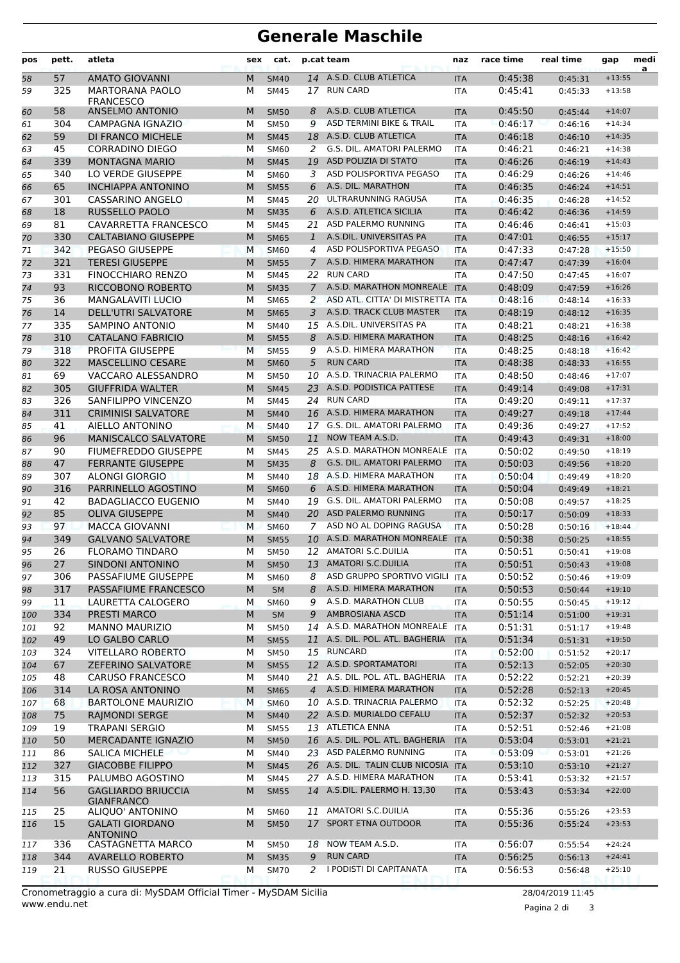## **Generale Maschile**

| pos      | pett.     | atleta                                             | sex    | cat.                       |                | p.cat team                                          | naz                      | race time          | real time          | gap                  | medi<br>a |
|----------|-----------|----------------------------------------------------|--------|----------------------------|----------------|-----------------------------------------------------|--------------------------|--------------------|--------------------|----------------------|-----------|
| 58       | 57        | <b>AMATO GIOVANNI</b>                              | M      | <b>SM40</b>                | 14             | A.S.D. CLUB ATLETICA                                | <b>ITA</b>               | 0:45:38            | 0:45:31            | $+13:55$             |           |
| 59       | 325       | <b>MARTORANA PAOLO</b>                             | М      | <b>SM45</b>                | 17             | <b>RUN CARD</b>                                     | <b>ITA</b>               | 0:45:41            | 0:45:33            | $+13:58$             |           |
|          |           | <b>FRANCESCO</b>                                   |        |                            |                |                                                     |                          |                    |                    |                      |           |
| 60       | 58<br>304 | <b>ANSELMO ANTONIO</b><br>CAMPAGNA IGNAZIO         | M<br>М | <b>SM50</b><br><b>SM50</b> | 8<br>9         | A.S.D. CLUB ATLETICA<br>ASD TERMINI BIKE & TRAIL    | <b>ITA</b><br><b>ITA</b> | 0:45:50            | 0:45:44            | $+14:07$<br>$+14:34$ |           |
| 61       | 59        | DI FRANCO MICHELE                                  | M      | <b>SM45</b>                | 18             | A.S.D. CLUB ATLETICA                                |                          | 0:46:17<br>0:46:18 | 0:46:16            | $+14:35$             |           |
| 62<br>63 | 45        | <b>CORRADINO DIEGO</b>                             | М      | SM60                       | 2              | G.S. DIL. AMATORI PALERMO                           | <b>ITA</b><br><b>ITA</b> | 0:46:21            | 0:46:10<br>0:46:21 | $+14:38$             |           |
| 64       | 339       | <b>MONTAGNA MARIO</b>                              | M      | <b>SM45</b>                | 19             | ASD POLIZIA DI STATO                                | <b>ITA</b>               | 0:46:26            | 0:46:19            | $+14:43$             |           |
| 65       | 340       | LO VERDE GIUSEPPE                                  | M      | SM60                       | 3              | ASD POLISPORTIVA PEGASO                             | <b>ITA</b>               | 0:46:29            | 0:46:26            | $+14:46$             |           |
| 66       | 65        | <b>INCHIAPPA ANTONINO</b>                          | M      | <b>SM55</b>                | 6              | A.S. DIL. MARATHON                                  | <b>ITA</b>               | 0:46:35            | 0:46:24            | $+14:51$             |           |
| 67       | 301       | CASSARINO ANGELO                                   | М      | <b>SM45</b>                | 20.            | ULTRARUNNING RAGUSA                                 | <b>ITA</b>               | 0:46:35            | 0:46:28            | $+14:52$             |           |
| 68       | 18        | RUSSELLO PAOLO                                     | M      | <b>SM35</b>                | 6              | A.S.D. ATLETICA SICILIA                             | <b>ITA</b>               | 0:46:42            | 0:46:36            | $+14:59$             |           |
| 69       | 81        | CAVARRETTA FRANCESCO                               | М      | <b>SM45</b>                | 21             | ASD PALERMO RUNNING                                 | <b>ITA</b>               | 0:46:46            | 0:46:41            | $+15:03$             |           |
| 70       | 330       | <b>CALTABIANO GIUSEPPE</b>                         | M      | <b>SM65</b>                | $\mathbf{1}$   | A.S.DIL. UNIVERSITAS PA                             | <b>ITA</b>               | 0:47:01            | 0:46:55            | $+15:17$             |           |
| 71       | 342       | <b>PEGASO GIUSEPPE</b>                             | M      | <b>SM60</b>                | 4              | ASD POLISPORTIVA PEGASO                             | <b>ITA</b>               | 0:47:33            | 0:47:28            | $+15:50$             |           |
| 72       | 321       | <b>TERESI GIUSEPPE</b>                             | M      | <b>SM55</b>                | $\mathcal{I}$  | A.S.D. HIMERA MARATHON                              | <b>ITA</b>               | 0:47:47            | 0:47:39            | $+16:04$             |           |
| 73       | 331       | <b>FINOCCHIARO RENZO</b>                           | М      | <b>SM45</b>                | 22             | <b>RUN CARD</b>                                     | <b>ITA</b>               | 0:47:50            | 0:47:45            | $+16:07$             |           |
| 74       | 93        | RICCOBONO ROBERTO                                  | M      | <b>SM35</b>                | $\overline{7}$ | A.S.D. MARATHON MONREALE ITA                        |                          | 0:48:09            | 0:47:59            | $+16:26$             |           |
| 75       | 36        | <b>MANGALAVITI LUCIO</b>                           | М      | <b>SM65</b>                | 2              | ASD ATL. CITTA' DI MISTRETTA ITA                    |                          | 0:48:16            | 0:48:14            | $+16:33$             |           |
| 76       | 14        | <b>DELL'UTRI SALVATORE</b>                         | M      | <b>SM65</b>                | 3              | A.S.D. TRACK CLUB MASTER                            | <b>ITA</b>               | 0:48:19            | 0:48:12            | $+16:35$             |           |
| 77       | 335       | SAMPINO ANTONIO                                    | М      | <b>SM40</b>                | 15             | A.S.DIL. UNIVERSITAS PA                             | <b>ITA</b>               | 0:48:21            | 0:48:21            | $+16:38$             |           |
| 78       | 310       | <b>CATALANO FABRICIO</b>                           | M      | <b>SM55</b>                | 8              | A.S.D. HIMERA MARATHON                              | <b>ITA</b>               | 0:48:25            | 0:48:16            | $+16:42$             |           |
| 79       | 318       | PROFITA GIUSEPPE                                   | M      | <b>SM55</b>                | 9              | A.S.D. HIMERA MARATHON                              | <b>ITA</b>               | 0:48:25            | 0:48:18            | $+16:42$             |           |
| 80       | 322       | <b>MASCELLINO CESARE</b>                           | M      | <b>SM60</b>                | 5              | <b>RUN CARD</b>                                     | <b>ITA</b>               | 0:48:38            | 0:48:33            | $+16:55$             |           |
| 81       | 69        | VACCARO ALESSANDRO                                 | М      | <b>SM50</b>                | 10             | A.S.D. TRINACRIA PALERMO                            | <b>ITA</b>               | 0:48:50            | 0:48:46            | $+17:07$             |           |
| 82       | 305       | <b>GIUFFRIDA WALTER</b>                            | M      | <b>SM45</b>                | 23             | A.S.D. PODISTICA PATTESE                            | <b>ITA</b>               | 0:49:14            | 0:49:08            | $+17:31$             |           |
| 83       | 326       | SANFILIPPO VINCENZO                                | М      | <b>SM45</b>                | 24             | <b>RUN CARD</b>                                     | <b>ITA</b>               | 0:49:20            | 0:49:11            | $+17:37$             |           |
| 84       | 311       | <b>CRIMINISI SALVATORE</b>                         | M      | <b>SM40</b>                |                | 16 A.S.D. HIMERA MARATHON                           | <b>ITA</b>               | 0:49:27            | 0:49:18            | $+17:44$             |           |
| 85       | 41        | AIELLO ANTONINO                                    | M      | <b>SM40</b>                | 17             | G.S. DIL. AMATORI PALERMO                           | <b>ITA</b>               | 0:49:36            | 0:49:27            | $+17:52$             |           |
| 86       | 96        | <b>MANISCALCO SALVATORE</b>                        | M      | <b>SM50</b>                | 11             | NOW TEAM A.S.D.                                     | <b>ITA</b>               | 0:49:43            | 0:49:31            | $+18:00$             |           |
| 87       | 90        | <b>FIUMEFREDDO GIUSEPPE</b>                        | М      | <b>SM45</b>                |                | 25 A.S.D. MARATHON MONREALE                         | <b>ITA</b>               | 0:50:02            | 0:49:50            | $+18:19$             |           |
| 88       | 47        | <b>FERRANTE GIUSEPPE</b>                           | M      | <b>SM35</b>                | 8              | <b>G.S. DIL. AMATORI PALERMO</b>                    | <b>ITA</b>               | 0:50:03            | 0:49:56            | $+18:20$             |           |
| 89       | 307       | <b>ALONGI GIORGIO</b>                              | М      | <b>SM40</b>                | 18             | A.S.D. HIMERA MARATHON                              | <b>ITA</b>               | 0:50:04            | 0:49:49            | $+18:20$             |           |
| 90       | 316       | PARRINELLO AGOSTINO                                | M      | <b>SM60</b>                | 6              | A.S.D. HIMERA MARATHON                              | <b>ITA</b>               | 0:50:04            | 0:49:49            | $+18:21$             |           |
| 91       | 42        | <b>BADAGLIACCO EUGENIO</b>                         | М      | <b>SM40</b>                | 19             | G.S. DIL. AMATORI PALERMO<br>20 ASD PALERMO RUNNING | <b>ITA</b>               | 0:50:08            | 0:49:57            | $+18:25$             |           |
| 92       | 85        | <b>OLIVA GIUSEPPE</b>                              | M      | <b>SM40</b>                |                | ASD NO AL DOPING RAGUSA                             | <b>ITA</b>               | 0:50:17            | 0:50:09<br>0:50:16 | $+18:33$             |           |
| 93       | 97        | <b>MACCA GIOVANNI</b>                              | M<br>M | <b>SM60</b>                | 7              | A.S.D. MARATHON MONREALE                            | <b>ITA</b>               | 0:50:28            |                    | $+18:44$<br>$+18:55$ |           |
| 94<br>95 | 349<br>26 | <b>GALVANO SALVATORE</b><br><b>FLORAMO TINDARO</b> | м      | <b>SM55</b><br><b>SM50</b> | 10             | 12 AMATORI S.C.DUILIA                               | <b>ITA</b><br><b>ITA</b> | 0:50:38<br>0:50:51 | 0:50:25<br>0:50:41 | $+19:08$             |           |
| 96       | 27        | SINDONI ANTONINO                                   | M      | <b>SM50</b>                | 13             | AMATORI S.C.DUILIA                                  | <b>ITA</b>               | 0:50:51            | 0:50:43            | $+19:08$             |           |
| 97       | 306       | PASSAFIUME GIUSEPPE                                | М      | <b>SM60</b>                | 8              | ASD GRUPPO SPORTIVO VIGILI                          | ITA                      | 0:50:52            | 0:50:46            | $+19:09$             |           |
| 98       | 317       | PASSAFIUME FRANCESCO                               | M      | <b>SM</b>                  | 8              | A.S.D. HIMERA MARATHON                              | <b>ITA</b>               | 0:50:53            | 0:50:44            | $+19:10$             |           |
| 99       | 11        | LAURETTA CALOGERO                                  | M      | SM60                       | 9              | A.S.D. MARATHON CLUB                                | ITA                      | 0:50:55            | 0:50:45            | $+19:12$             |           |
| 100      | 334       | PRESTI MARCO                                       | M      | <b>SM</b>                  | 9              | AMBROSIANA ASCD                                     | <b>ITA</b>               | 0:51:14            | 0:51:00            | $+19:31$             |           |
| 101      | 92        | <b>MANNO MAURIZIO</b>                              | М      | <b>SM50</b>                |                | 14 A.S.D. MARATHON MONREALE ITA                     |                          | 0:51:31            | 0:51:17            | $+19:48$             |           |
| 102      | 49        | LO GALBO CARLO                                     | M      | <b>SM55</b>                |                | 11 A.S. DIL. POL. ATL. BAGHERIA                     | <b>ITA</b>               | 0:51:34            | 0:51:31            | $+19:50$             |           |
| 103      | 324       | <b>VITELLARO ROBERTO</b>                           | м      | <b>SM50</b>                |                | 15 RUNCARD                                          | ITA                      | 0:52:00            | 0:51:52            | $+20:17$             |           |
| 104      | 67        | ZEFERINO SALVATORE                                 | M      | <b>SM55</b>                |                | 12 A.S.D. SPORTAMATORI                              | <b>ITA</b>               | 0:52:13            | 0:52:05            | $+20:30$             |           |
| 105      | 48        | <b>CARUSO FRANCESCO</b>                            | М      | SM40                       |                | 21 A.S. DIL. POL. ATL. BAGHERIA                     | ITA                      | 0:52:22            | 0:52:21            | $+20:39$             |           |
| 106      | 314       | LA ROSA ANTONINO                                   | M      | <b>SM65</b>                | $\overline{4}$ | A.S.D. HIMERA MARATHON                              | <b>ITA</b>               | 0:52:28            | 0:52:13            | $+20:45$             |           |
| 107      | 68        | <b>BARTOLONE MAURIZIO</b>                          | М      | <b>SM60</b>                |                | 10 A.S.D. TRINACRIA PALERMO                         | <b>ITA</b>               | 0:52:32            | 0:52:25            | $+20:48$             |           |
| 108      | 75        | RAJMONDI SERGE                                     | M      | <b>SM40</b>                |                | 22 A.S.D. MURIALDO CEFALU                           | <b>ITA</b>               | 0:52:37            | 0:52:32            | $+20:53$             |           |
| 109      | 19        | <b>TRAPANI SERGIO</b>                              | М      | <b>SM55</b>                |                | 13 ATLETICA ENNA                                    | <b>ITA</b>               | 0:52:51            | 0:52:46            | $+21:08$             |           |
| 110      | 50        | MERCADANTE IGNAZIO                                 | M      | <b>SM50</b>                |                | 16 A.S. DIL. POL. ATL. BAGHERIA                     | <b>ITA</b>               | 0:53:04            | 0:53:01            | $+21:21$             |           |
| 111      | 86        | <b>SALICA MICHELE</b>                              | М      | <b>SM40</b>                |                | 23 ASD PALERMO RUNNING                              | ITA                      | 0:53:09            | 0:53:01            | $+21:26$             |           |
| 112      | 327       | <b>GIACOBBE FILIPPO</b>                            | M      | <b>SM45</b>                |                | 26 A.S. DIL. TALIN CLUB NICOSIA ITA                 |                          | 0:53:10            | 0:53:10            | $+21:27$             |           |
| 113      | 315       | PALUMBO AGOSTINO                                   | М      | <b>SM45</b>                |                | 27 A.S.D. HIMERA MARATHON                           | ITA                      | 0:53:41            | 0:53:32            | $+21:57$             |           |
| 114      | 56        | <b>GAGLIARDO BRIUCCIA</b>                          | M      | <b>SM55</b>                |                | 14 A.S.DIL. PALERMO H. 13,30                        | <b>ITA</b>               | 0:53:43            | 0:53:34            | $+22:00$             |           |
|          | 25        | <b>GIANFRANCO</b><br>ALIQUO' ANTONINO              |        |                            |                | 11 AMATORI S.C.DUILIA                               |                          | 0:55:36            |                    | $+23:53$             |           |
| 115      | 15        | <b>GALATI GIORDANO</b>                             | М<br>M | SM60<br><b>SM50</b>        | 17             | SPORT ETNA OUTDOOR                                  | <b>ITA</b>               | 0:55:36            | 0:55:26            | $+23:53$             |           |
| 116      |           | <b>ANTONINO</b>                                    |        |                            |                |                                                     | <b>ITA</b>               |                    | 0:55:24            |                      |           |
| 117      | 336       | CASTAGNETTA MARCO                                  | м      | <b>SM50</b>                | 18             | NOW TEAM A.S.D.                                     | ITA                      | 0:56:07            | 0:55:54            | $+24:24$             |           |
| 118      | 344       | <b>AVARELLO ROBERTO</b>                            | M      | <b>SM35</b>                | 9              | <b>RUN CARD</b>                                     | <b>ITA</b>               | 0:56:25            | 0:56:13            | $+24:41$             |           |
| 119      | 21        | <b>RUSSO GIUSEPPE</b>                              | М      | <b>SM70</b>                | 2              | I PODISTI DI CAPITANATA                             | ITA                      | 0:56:53            | 0:56:48            | $+25:10$             |           |
|          |           |                                                    |        |                            |                |                                                     |                          |                    |                    |                      |           |

Pagina 2 di 3